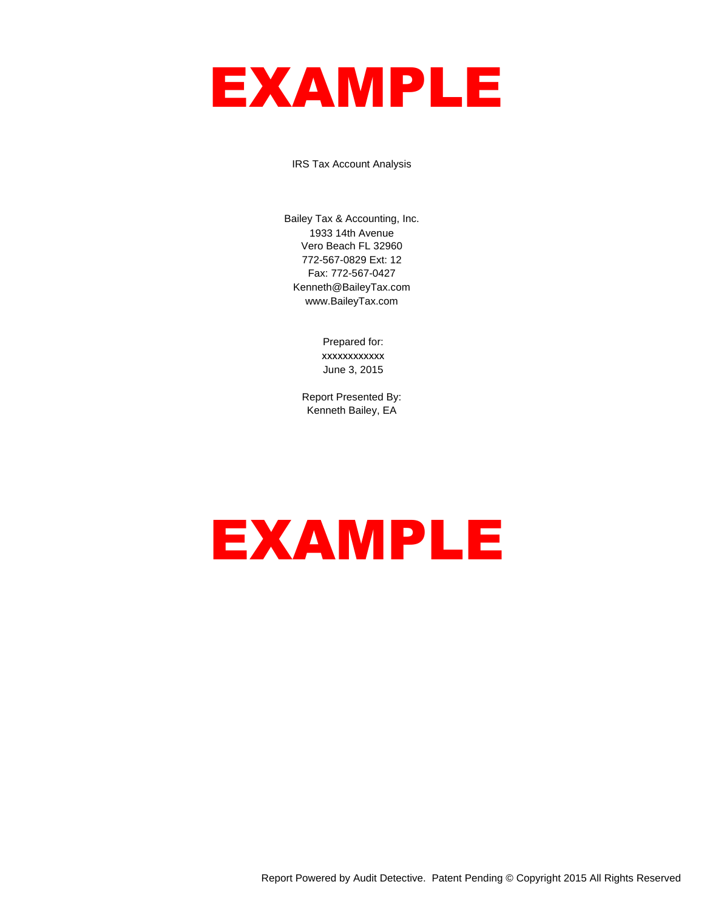# EXAMPLE

IRS Tax Account Analysis

Bailey Tax & Accounting, Inc. 1933 14th Avenue Vero Beach FL 32960 772-567-0829 Ext: 12 Fax: 772-567-0427 Kenneth@BaileyTax.com www.BaileyTax.com

> Prepared for: xxxxxxxxxxxx June 3, 2015

Report Presented By: Kenneth Bailey, EA

# EXAMPLE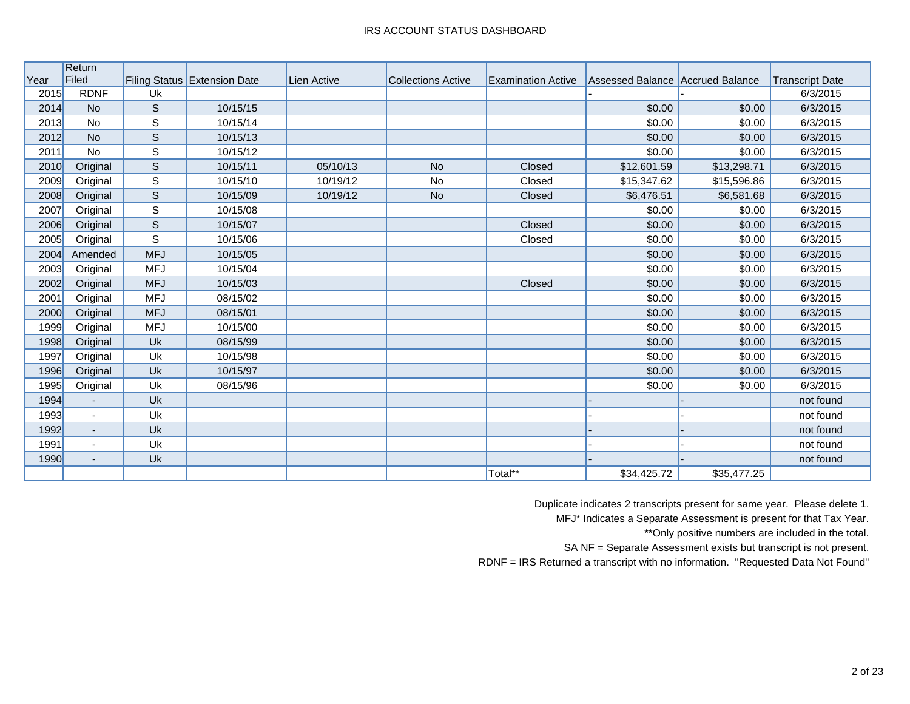|      | Return                   |              |                              |             |                           |                           |                                  |             |                        |
|------|--------------------------|--------------|------------------------------|-------------|---------------------------|---------------------------|----------------------------------|-------------|------------------------|
| Year | Filed                    |              | Filing Status Extension Date | Lien Active | <b>Collections Active</b> | <b>Examination Active</b> | Assessed Balance Accrued Balance |             | <b>Transcript Date</b> |
| 2015 | <b>RDNF</b>              | Uk           |                              |             |                           |                           |                                  |             | 6/3/2015               |
| 2014 | <b>No</b>                | $\mathsf S$  | 10/15/15                     |             |                           |                           | \$0.00                           | \$0.00      | 6/3/2015               |
| 2013 | No                       | $\mathsf S$  | 10/15/14                     |             |                           |                           | \$0.00                           | \$0.00      | 6/3/2015               |
| 2012 | <b>No</b>                | $\mathsf{S}$ | 10/15/13                     |             |                           |                           | \$0.00                           | \$0.00      | 6/3/2015               |
| 2011 | <b>No</b>                | $\mathsf S$  | 10/15/12                     |             |                           |                           | \$0.00                           | \$0.00      | 6/3/2015               |
| 2010 | Original                 | $\mathsf{S}$ | 10/15/11                     | 05/10/13    | <b>No</b>                 | Closed                    | \$12,601.59                      | \$13,298.71 | 6/3/2015               |
| 2009 | Original                 | S            | 10/15/10                     | 10/19/12    | <b>No</b>                 | Closed                    | \$15,347.62                      | \$15,596.86 | 6/3/2015               |
| 2008 | Original                 | $\mathsf S$  | 10/15/09                     | 10/19/12    | <b>No</b>                 | Closed                    | \$6,476.51                       | \$6,581.68  | 6/3/2015               |
| 2007 | Original                 | S            | 10/15/08                     |             |                           |                           | \$0.00                           | \$0.00      | 6/3/2015               |
| 2006 | Original                 | $\mathbb S$  | 10/15/07                     |             |                           | Closed                    | \$0.00                           | \$0.00      | 6/3/2015               |
| 2005 | Original                 | S            | 10/15/06                     |             |                           | Closed                    | \$0.00                           | \$0.00      | 6/3/2015               |
| 2004 | Amended                  | <b>MFJ</b>   | 10/15/05                     |             |                           |                           | \$0.00                           | \$0.00      | 6/3/2015               |
| 2003 | Original                 | <b>MFJ</b>   | 10/15/04                     |             |                           |                           | \$0.00                           | \$0.00      | 6/3/2015               |
| 2002 | Original                 | <b>MFJ</b>   | 10/15/03                     |             |                           | Closed                    | \$0.00                           | \$0.00      | 6/3/2015               |
| 2001 | Original                 | <b>MFJ</b>   | 08/15/02                     |             |                           |                           | \$0.00                           | \$0.00      | 6/3/2015               |
| 2000 | Original                 | <b>MFJ</b>   | 08/15/01                     |             |                           |                           | \$0.00                           | \$0.00      | 6/3/2015               |
| 1999 | Original                 | <b>MFJ</b>   | 10/15/00                     |             |                           |                           | \$0.00                           | \$0.00      | 6/3/2015               |
| 1998 | Original                 | Uk           | 08/15/99                     |             |                           |                           | \$0.00                           | \$0.00      | 6/3/2015               |
| 1997 | Original                 | Uk           | 10/15/98                     |             |                           |                           | \$0.00                           | \$0.00      | 6/3/2015               |
| 1996 | Original                 | Uk           | 10/15/97                     |             |                           |                           | \$0.00                           | \$0.00      | 6/3/2015               |
| 1995 | Original                 | Uk           | 08/15/96                     |             |                           |                           | \$0.00                           | \$0.00      | 6/3/2015               |
| 1994 | $\blacksquare$           | Uk           |                              |             |                           |                           |                                  |             | not found              |
| 1993 | $\sim$                   | Uk           |                              |             |                           |                           |                                  |             | not found              |
| 1992 | $\overline{\phantom{a}}$ | Uk           |                              |             |                           |                           |                                  |             | not found              |
| 1991 | $\blacksquare$           | Uk           |                              |             |                           |                           |                                  |             | not found              |
| 1990 | $\overline{\phantom{a}}$ | Uk           |                              |             |                           |                           |                                  |             | not found              |
|      |                          |              |                              |             |                           | Total**                   | \$34,425.72                      | \$35,477.25 |                        |

Duplicate indicates 2 transcripts present for same year. Please delete 1.

MFJ\* Indicates a Separate Assessment is present for that Tax Year.

\*\*Only positive numbers are included in the total.

SA NF = Separate Assessment exists but transcript is not present.

RDNF = IRS Returned a transcript with no information. "Requested Data Not Found"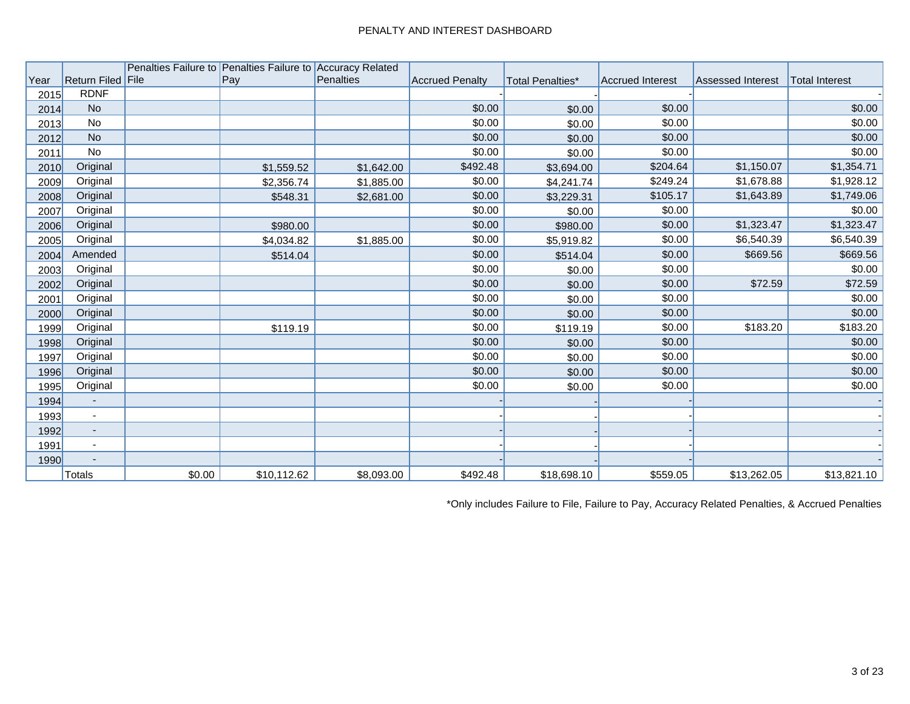|      |                          |        | Penalties Failure to Penalties Failure to Accuracy Related |                  |                        |                  |                         |                          |                       |
|------|--------------------------|--------|------------------------------------------------------------|------------------|------------------------|------------------|-------------------------|--------------------------|-----------------------|
| Year | Return Filed File        |        | Pay                                                        | <b>Penalties</b> | <b>Accrued Penalty</b> | Total Penalties* | <b>Accrued Interest</b> | <b>Assessed Interest</b> | <b>Total Interest</b> |
| 2015 | <b>RDNF</b>              |        |                                                            |                  |                        |                  |                         |                          |                       |
| 2014 | <b>No</b>                |        |                                                            |                  | \$0.00                 | \$0.00           | \$0.00                  |                          | \$0.00                |
| 2013 | No                       |        |                                                            |                  | \$0.00                 | \$0.00           | \$0.00                  |                          | \$0.00                |
| 2012 | <b>No</b>                |        |                                                            |                  | \$0.00                 | \$0.00           | \$0.00                  |                          | \$0.00                |
| 2011 | No                       |        |                                                            |                  | \$0.00                 | \$0.00           | \$0.00                  |                          | \$0.00                |
| 2010 | Original                 |        | \$1,559.52                                                 | \$1,642.00       | \$492.48               | \$3,694.00       | \$204.64                | \$1,150.07               | \$1,354.71            |
| 2009 | Original                 |        | \$2,356.74                                                 | \$1,885.00       | \$0.00                 | \$4,241.74       | \$249.24                | \$1,678.88               | \$1,928.12            |
| 2008 | Original                 |        | \$548.31                                                   | \$2,681.00       | \$0.00                 | \$3,229.31       | \$105.17                | \$1,643.89               | \$1,749.06            |
| 2007 | Original                 |        |                                                            |                  | \$0.00                 | \$0.00           | \$0.00                  |                          | \$0.00                |
| 2006 | Original                 |        | \$980.00                                                   |                  | \$0.00                 | \$980.00         | \$0.00                  | \$1,323.47               | \$1,323.47            |
| 2005 | Original                 |        | \$4,034.82                                                 | \$1,885.00       | \$0.00                 | \$5,919.82       | \$0.00                  | \$6,540.39               | \$6,540.39            |
| 2004 | Amended                  |        | \$514.04                                                   |                  | \$0.00                 | \$514.04         | \$0.00                  | \$669.56                 | \$669.56              |
| 2003 | Original                 |        |                                                            |                  | \$0.00                 | \$0.00           | \$0.00                  |                          | \$0.00                |
| 2002 | Original                 |        |                                                            |                  | \$0.00                 | \$0.00           | \$0.00                  | \$72.59                  | \$72.59               |
| 2001 | Original                 |        |                                                            |                  | \$0.00                 | \$0.00           | \$0.00                  |                          | \$0.00                |
| 2000 | Original                 |        |                                                            |                  | \$0.00                 | \$0.00           | \$0.00                  |                          | \$0.00                |
| 1999 | Original                 |        | \$119.19                                                   |                  | \$0.00                 | \$119.19         | \$0.00                  | \$183.20                 | \$183.20              |
| 1998 | Original                 |        |                                                            |                  | \$0.00                 | \$0.00           | \$0.00                  |                          | \$0.00                |
| 1997 | Original                 |        |                                                            |                  | \$0.00                 | \$0.00           | \$0.00                  |                          | \$0.00                |
| 1996 | Original                 |        |                                                            |                  | \$0.00                 | \$0.00           | \$0.00                  |                          | \$0.00                |
| 1995 | Original                 |        |                                                            |                  | \$0.00                 | \$0.00           | \$0.00                  |                          | \$0.00                |
| 1994 | $\sim$                   |        |                                                            |                  |                        |                  |                         |                          |                       |
| 1993 | $\sim$                   |        |                                                            |                  |                        |                  |                         |                          |                       |
| 1992 | $\sim$                   |        |                                                            |                  |                        |                  |                         |                          |                       |
| 1991 | $\sim$                   |        |                                                            |                  |                        |                  |                         |                          |                       |
| 1990 | $\overline{\phantom{a}}$ |        |                                                            |                  |                        |                  |                         |                          |                       |
|      | Totals                   | \$0.00 | \$10,112.62                                                | \$8,093.00       | \$492.48               | \$18,698.10      | \$559.05                | \$13,262.05              | \$13,821.10           |

\*Only includes Failure to File, Failure to Pay, Accuracy Related Penalties, & Accrued Penalties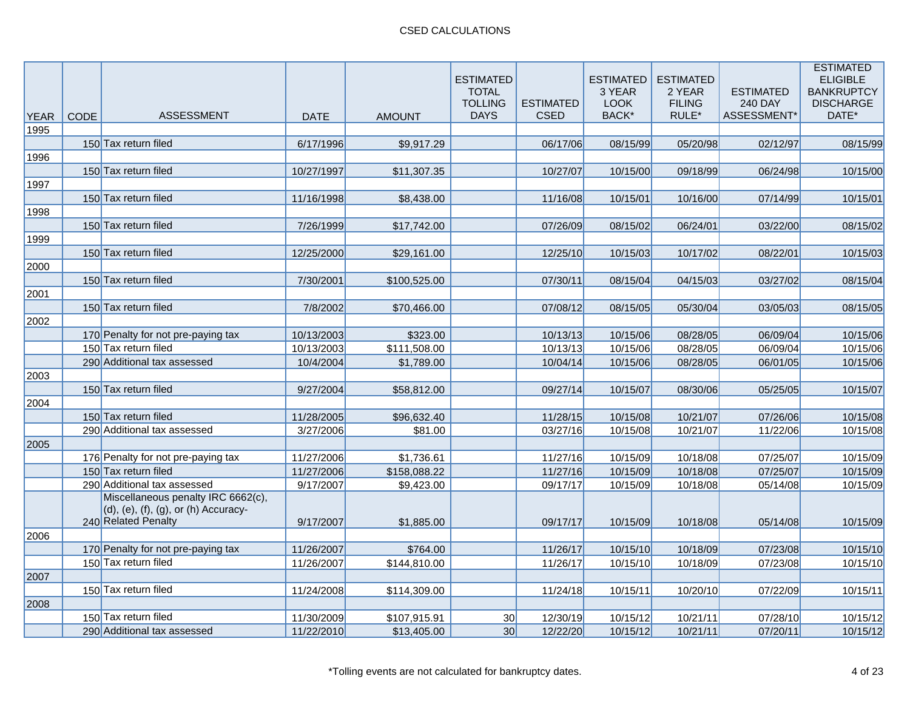| <b>YEAR</b> | CODE | ASSESSMENT                                                                                        | <b>DATE</b> | <b>AMOUNT</b> | <b>ESTIMATED</b><br><b>TOTAL</b><br><b>TOLLING</b><br><b>DAYS</b> | <b>ESTIMATED</b><br><b>CSED</b> | <b>ESTIMATED</b><br>3 YEAR<br><b>LOOK</b><br>BACK* | <b>ESTIMATED</b><br>2 YEAR<br><b>FILING</b><br>RULE* | <b>ESTIMATED</b><br><b>240 DAY</b><br>ASSESSMENT* | <b>ESTIMATED</b><br><b>ELIGIBLE</b><br><b>BANKRUPTCY</b><br><b>DISCHARGE</b><br>DATE* |
|-------------|------|---------------------------------------------------------------------------------------------------|-------------|---------------|-------------------------------------------------------------------|---------------------------------|----------------------------------------------------|------------------------------------------------------|---------------------------------------------------|---------------------------------------------------------------------------------------|
| 1995        |      |                                                                                                   |             |               |                                                                   |                                 |                                                    |                                                      |                                                   |                                                                                       |
|             |      | 150 Tax return filed                                                                              | 6/17/1996   | \$9,917.29    |                                                                   | 06/17/06                        | 08/15/99                                           | 05/20/98                                             | 02/12/97                                          | 08/15/99                                                                              |
| 1996        |      |                                                                                                   |             |               |                                                                   |                                 |                                                    |                                                      |                                                   |                                                                                       |
|             |      | 150 Tax return filed                                                                              | 10/27/1997  | \$11,307.35   |                                                                   | 10/27/07                        | 10/15/00                                           | 09/18/99                                             | 06/24/98                                          | 10/15/00                                                                              |
| 1997        |      |                                                                                                   |             |               |                                                                   |                                 |                                                    |                                                      |                                                   |                                                                                       |
|             |      | 150 Tax return filed                                                                              | 11/16/1998  | \$8,438.00    |                                                                   | 11/16/08                        | 10/15/01                                           | 10/16/00                                             | 07/14/99                                          | 10/15/01                                                                              |
| 1998        |      |                                                                                                   |             |               |                                                                   |                                 |                                                    |                                                      |                                                   |                                                                                       |
|             |      | 150 Tax return filed                                                                              | 7/26/1999   | \$17,742.00   |                                                                   | 07/26/09                        | 08/15/02                                           | 06/24/01                                             | 03/22/00                                          | 08/15/02                                                                              |
| 1999        |      |                                                                                                   |             |               |                                                                   |                                 |                                                    |                                                      |                                                   |                                                                                       |
|             |      | 150 Tax return filed                                                                              | 12/25/2000  | \$29,161.00   |                                                                   | 12/25/10                        | 10/15/03                                           | 10/17/02                                             | 08/22/01                                          | 10/15/03                                                                              |
| 2000        |      |                                                                                                   |             |               |                                                                   |                                 |                                                    |                                                      |                                                   |                                                                                       |
|             |      | 150 Tax return filed                                                                              | 7/30/2001   | \$100,525.00  |                                                                   | 07/30/11                        | 08/15/04                                           | 04/15/03                                             | 03/27/02                                          | 08/15/04                                                                              |
| 2001        |      |                                                                                                   |             |               |                                                                   |                                 |                                                    |                                                      |                                                   |                                                                                       |
|             |      | 150 Tax return filed                                                                              | 7/8/2002    | \$70,466.00   |                                                                   | 07/08/12                        | 08/15/05                                           | 05/30/04                                             | 03/05/03                                          | 08/15/05                                                                              |
| 2002        |      |                                                                                                   |             |               |                                                                   |                                 |                                                    |                                                      |                                                   |                                                                                       |
|             |      | 170 Penalty for not pre-paying tax                                                                | 10/13/2003  | \$323.00      |                                                                   | 10/13/13                        | 10/15/06                                           | 08/28/05                                             | 06/09/04                                          | 10/15/06                                                                              |
|             |      | 150 Tax return filed                                                                              | 10/13/2003  | \$111,508.00  |                                                                   | 10/13/13                        | 10/15/06                                           | 08/28/05                                             | 06/09/04                                          | 10/15/06                                                                              |
|             |      | 290 Additional tax assessed                                                                       | 10/4/2004   | \$1,789.00    |                                                                   | 10/04/14                        | 10/15/06                                           | 08/28/05                                             | 06/01/05                                          | 10/15/06                                                                              |
| 2003        |      | 150 Tax return filed                                                                              | 9/27/2004   | \$58,812.00   |                                                                   | 09/27/14                        |                                                    | 08/30/06                                             | 05/25/05                                          | 10/15/07                                                                              |
| 2004        |      |                                                                                                   |             |               |                                                                   |                                 | 10/15/07                                           |                                                      |                                                   |                                                                                       |
|             |      | 150 Tax return filed                                                                              | 11/28/2005  | \$96,632.40   |                                                                   | 11/28/15                        | 10/15/08                                           | 10/21/07                                             | 07/26/06                                          | 10/15/08                                                                              |
|             |      | 290 Additional tax assessed                                                                       | 3/27/2006   | \$81.00       |                                                                   | 03/27/16                        | 10/15/08                                           | 10/21/07                                             | 11/22/06                                          | 10/15/08                                                                              |
| 2005        |      |                                                                                                   |             |               |                                                                   |                                 |                                                    |                                                      |                                                   |                                                                                       |
|             |      | 176 Penalty for not pre-paying tax                                                                | 11/27/2006  | \$1,736.61    |                                                                   | 11/27/16                        | 10/15/09                                           | 10/18/08                                             | 07/25/07                                          | 10/15/09                                                                              |
|             |      | 150 Tax return filed                                                                              | 11/27/2006  | \$158,088.22  |                                                                   | 11/27/16                        | 10/15/09                                           | 10/18/08                                             | 07/25/07                                          | 10/15/09                                                                              |
|             |      | 290 Additional tax assessed                                                                       | 9/17/2007   | \$9,423.00    |                                                                   | 09/17/17                        | 10/15/09                                           | 10/18/08                                             | 05/14/08                                          | 10/15/09                                                                              |
|             |      | Miscellaneous penalty IRC 6662(c),<br>(d), (e), (f), (g), or (h) Accuracy-<br>240 Related Penalty | 9/17/2007   | \$1,885.00    |                                                                   | 09/17/17                        | 10/15/09                                           | 10/18/08                                             | 05/14/08                                          | 10/15/09                                                                              |
| 2006        |      |                                                                                                   |             |               |                                                                   |                                 |                                                    |                                                      |                                                   |                                                                                       |
|             |      | 170 Penalty for not pre-paying tax                                                                | 11/26/2007  | \$764.00      |                                                                   | 11/26/17                        | 10/15/10                                           | 10/18/09                                             | 07/23/08                                          | 10/15/10                                                                              |
|             |      | 150 Tax return filed                                                                              | 11/26/2007  | \$144,810.00  |                                                                   | 11/26/17                        | 10/15/10                                           | 10/18/09                                             | 07/23/08                                          | 10/15/10                                                                              |
| 2007        |      |                                                                                                   |             |               |                                                                   |                                 |                                                    |                                                      |                                                   |                                                                                       |
|             |      | 150 Tax return filed                                                                              | 11/24/2008  | \$114,309.00  |                                                                   | 11/24/18                        | 10/15/11                                           | 10/20/10                                             | 07/22/09                                          | 10/15/11                                                                              |
| 2008        |      |                                                                                                   |             |               |                                                                   |                                 |                                                    |                                                      |                                                   |                                                                                       |
|             |      | 150 Tax return filed                                                                              | 11/30/2009  | \$107,915.91  | 30                                                                | 12/30/19                        | 10/15/12                                           | 10/21/11                                             | 07/28/10                                          | 10/15/12                                                                              |
|             |      | 290 Additional tax assessed                                                                       | 11/22/2010  | \$13,405.00   | 30 <sup>l</sup>                                                   | 12/22/20                        | 10/15/12                                           | 10/21/11                                             | 07/20/11                                          | 10/15/12                                                                              |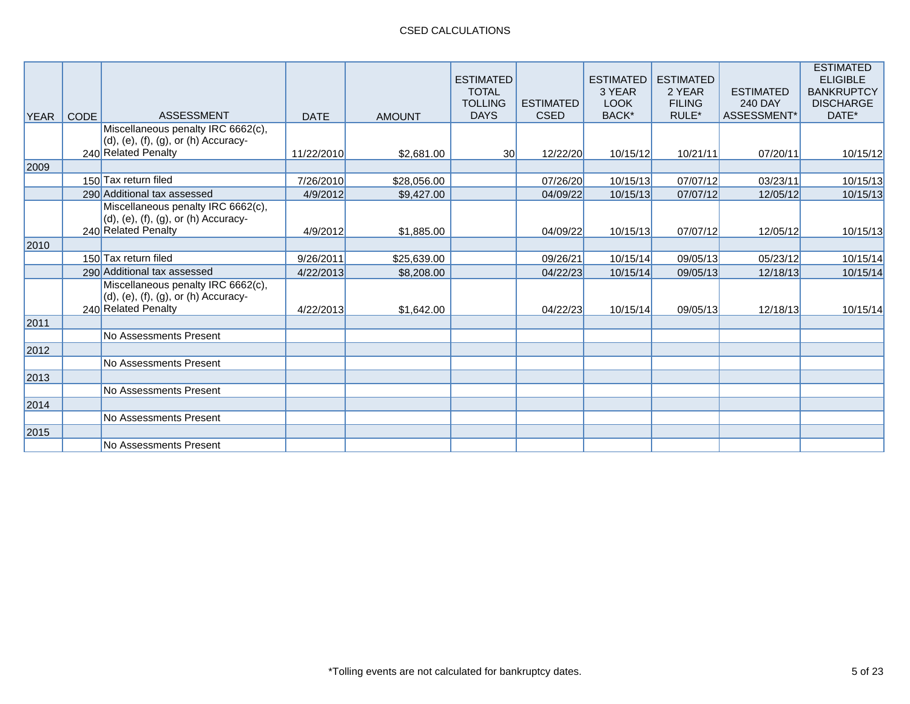# CSED CALCULATIONS

|             |             |                                                                                                                 |             |               | <b>ESTIMATED</b><br><b>TOTAL</b><br><b>TOLLING</b> | <b>ESTIMATED</b> | <b>ESTIMATED</b><br>3 YEAR<br><b>LOOK</b> | <b>ESTIMATED</b><br>2 YEAR<br><b>FILING</b> | <b>ESTIMATED</b><br><b>240 DAY</b> | <b>ESTIMATED</b><br><b>ELIGIBLE</b><br><b>BANKRUPTCY</b><br><b>DISCHARGE</b> |
|-------------|-------------|-----------------------------------------------------------------------------------------------------------------|-------------|---------------|----------------------------------------------------|------------------|-------------------------------------------|---------------------------------------------|------------------------------------|------------------------------------------------------------------------------|
| <b>YEAR</b> | <b>CODE</b> | <b>ASSESSMENT</b>                                                                                               | <b>DATE</b> | <b>AMOUNT</b> | <b>DAYS</b>                                        | <b>CSED</b>      | BACK*                                     | RULE*                                       | ASSESSMENT*                        | DATE*                                                                        |
|             |             | Miscellaneous penalty IRC 6662(c),<br>$(d)$ , $(e)$ , $(f)$ , $(g)$ , or $(h)$ Accuracy-<br>240 Related Penalty | 11/22/2010  | \$2,681.00    | <b>30</b>                                          | 12/22/20         | 10/15/12                                  | 10/21/11                                    | 07/20/11                           | 10/15/12                                                                     |
| 2009        |             |                                                                                                                 |             |               |                                                    |                  |                                           |                                             |                                    |                                                                              |
|             |             | 150 Tax return filed                                                                                            | 7/26/2010   | \$28,056.00   |                                                    | 07/26/20         | 10/15/13                                  | 07/07/12                                    | 03/23/11                           | 10/15/13                                                                     |
|             |             | 290 Additional tax assessed                                                                                     | 4/9/2012    | \$9,427.00    |                                                    | 04/09/22         | 10/15/13                                  | 07/07/12                                    | 12/05/12                           | 10/15/13                                                                     |
|             |             | Miscellaneous penalty IRC 6662(c),<br>$(d)$ , $(e)$ , $(f)$ , $(g)$ , or $(h)$ Accuracy-<br>240 Related Penalty | 4/9/2012    | \$1,885.00    |                                                    | 04/09/22         | 10/15/13                                  | 07/07/12                                    | 12/05/12                           | 10/15/13                                                                     |
| 2010        |             |                                                                                                                 |             |               |                                                    |                  |                                           |                                             |                                    |                                                                              |
|             |             | 150 Tax return filed                                                                                            | 9/26/2011   | \$25,639.00   |                                                    | 09/26/21         | 10/15/14                                  | 09/05/13                                    | 05/23/12                           | 10/15/14                                                                     |
|             |             | 290 Additional tax assessed                                                                                     | 4/22/2013   | \$8,208.00    |                                                    | 04/22/23         | 10/15/14                                  | 09/05/13                                    | 12/18/13                           | 10/15/14                                                                     |
|             |             | Miscellaneous penalty IRC 6662(c),<br>$(d)$ , $(e)$ , $(f)$ , $(g)$ , or $(h)$ Accuracy-<br>240 Related Penalty | 4/22/2013   | \$1,642.00    |                                                    | 04/22/23         | 10/15/14                                  | 09/05/13                                    | 12/18/13                           | 10/15/14                                                                     |
| 2011        |             |                                                                                                                 |             |               |                                                    |                  |                                           |                                             |                                    |                                                                              |
|             |             | No Assessments Present                                                                                          |             |               |                                                    |                  |                                           |                                             |                                    |                                                                              |
| 2012        |             |                                                                                                                 |             |               |                                                    |                  |                                           |                                             |                                    |                                                                              |
|             |             | No Assessments Present                                                                                          |             |               |                                                    |                  |                                           |                                             |                                    |                                                                              |
| 2013        |             |                                                                                                                 |             |               |                                                    |                  |                                           |                                             |                                    |                                                                              |
|             |             | No Assessments Present                                                                                          |             |               |                                                    |                  |                                           |                                             |                                    |                                                                              |
| 2014        |             |                                                                                                                 |             |               |                                                    |                  |                                           |                                             |                                    |                                                                              |
|             |             | No Assessments Present                                                                                          |             |               |                                                    |                  |                                           |                                             |                                    |                                                                              |
| 2015        |             |                                                                                                                 |             |               |                                                    |                  |                                           |                                             |                                    |                                                                              |
|             |             | No Assessments Present                                                                                          |             |               |                                                    |                  |                                           |                                             |                                    |                                                                              |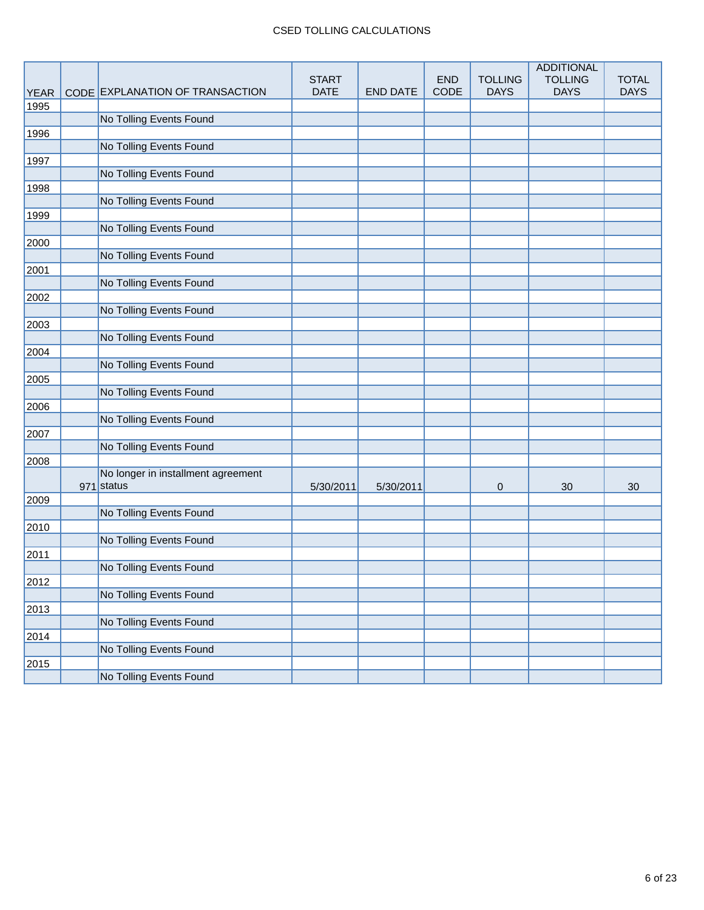### CSED TOLLING CALCULATIONS

| <b>CODE</b><br><b>DAYS</b><br><b>DATE</b><br><b>DAYS</b><br><b>DAYS</b><br>CODE EXPLANATION OF TRANSACTION<br><b>END DATE</b><br><b>YEAR</b><br>1995<br>No Tolling Events Found<br>1996<br>No Tolling Events Found<br>1997<br>No Tolling Events Found<br>1998<br>No Tolling Events Found<br>1999<br>No Tolling Events Found<br>2000<br>No Tolling Events Found<br>2001<br>No Tolling Events Found<br>2002<br>No Tolling Events Found<br>2003<br>No Tolling Events Found<br>2004<br>No Tolling Events Found<br>2005<br>No Tolling Events Found<br>2006<br>No Tolling Events Found<br>2007<br>No Tolling Events Found<br>2008<br>No longer in installment agreement<br>971 status<br>5/30/2011<br>5/30/2011<br>30<br>30<br>$\mathbf 0$<br>2009<br>No Tolling Events Found<br>2010<br>No Tolling Events Found<br>2011<br>No Tolling Events Found<br>2012<br>No Tolling Events Found<br>2013<br>No Tolling Events Found<br>2014<br>No Tolling Events Found |      |  |              |            |                | <b>ADDITIONAL</b> |              |
|--------------------------------------------------------------------------------------------------------------------------------------------------------------------------------------------------------------------------------------------------------------------------------------------------------------------------------------------------------------------------------------------------------------------------------------------------------------------------------------------------------------------------------------------------------------------------------------------------------------------------------------------------------------------------------------------------------------------------------------------------------------------------------------------------------------------------------------------------------------------------------------------------------------------------------------------------------|------|--|--------------|------------|----------------|-------------------|--------------|
|                                                                                                                                                                                                                                                                                                                                                                                                                                                                                                                                                                                                                                                                                                                                                                                                                                                                                                                                                        |      |  | <b>START</b> | <b>END</b> | <b>TOLLING</b> | <b>TOLLING</b>    | <b>TOTAL</b> |
|                                                                                                                                                                                                                                                                                                                                                                                                                                                                                                                                                                                                                                                                                                                                                                                                                                                                                                                                                        |      |  |              |            |                |                   |              |
|                                                                                                                                                                                                                                                                                                                                                                                                                                                                                                                                                                                                                                                                                                                                                                                                                                                                                                                                                        |      |  |              |            |                |                   |              |
|                                                                                                                                                                                                                                                                                                                                                                                                                                                                                                                                                                                                                                                                                                                                                                                                                                                                                                                                                        |      |  |              |            |                |                   |              |
|                                                                                                                                                                                                                                                                                                                                                                                                                                                                                                                                                                                                                                                                                                                                                                                                                                                                                                                                                        |      |  |              |            |                |                   |              |
|                                                                                                                                                                                                                                                                                                                                                                                                                                                                                                                                                                                                                                                                                                                                                                                                                                                                                                                                                        |      |  |              |            |                |                   |              |
|                                                                                                                                                                                                                                                                                                                                                                                                                                                                                                                                                                                                                                                                                                                                                                                                                                                                                                                                                        |      |  |              |            |                |                   |              |
|                                                                                                                                                                                                                                                                                                                                                                                                                                                                                                                                                                                                                                                                                                                                                                                                                                                                                                                                                        |      |  |              |            |                |                   |              |
|                                                                                                                                                                                                                                                                                                                                                                                                                                                                                                                                                                                                                                                                                                                                                                                                                                                                                                                                                        |      |  |              |            |                |                   |              |
|                                                                                                                                                                                                                                                                                                                                                                                                                                                                                                                                                                                                                                                                                                                                                                                                                                                                                                                                                        |      |  |              |            |                |                   |              |
|                                                                                                                                                                                                                                                                                                                                                                                                                                                                                                                                                                                                                                                                                                                                                                                                                                                                                                                                                        |      |  |              |            |                |                   |              |
|                                                                                                                                                                                                                                                                                                                                                                                                                                                                                                                                                                                                                                                                                                                                                                                                                                                                                                                                                        |      |  |              |            |                |                   |              |
|                                                                                                                                                                                                                                                                                                                                                                                                                                                                                                                                                                                                                                                                                                                                                                                                                                                                                                                                                        |      |  |              |            |                |                   |              |
|                                                                                                                                                                                                                                                                                                                                                                                                                                                                                                                                                                                                                                                                                                                                                                                                                                                                                                                                                        |      |  |              |            |                |                   |              |
|                                                                                                                                                                                                                                                                                                                                                                                                                                                                                                                                                                                                                                                                                                                                                                                                                                                                                                                                                        |      |  |              |            |                |                   |              |
|                                                                                                                                                                                                                                                                                                                                                                                                                                                                                                                                                                                                                                                                                                                                                                                                                                                                                                                                                        |      |  |              |            |                |                   |              |
|                                                                                                                                                                                                                                                                                                                                                                                                                                                                                                                                                                                                                                                                                                                                                                                                                                                                                                                                                        |      |  |              |            |                |                   |              |
|                                                                                                                                                                                                                                                                                                                                                                                                                                                                                                                                                                                                                                                                                                                                                                                                                                                                                                                                                        |      |  |              |            |                |                   |              |
|                                                                                                                                                                                                                                                                                                                                                                                                                                                                                                                                                                                                                                                                                                                                                                                                                                                                                                                                                        |      |  |              |            |                |                   |              |
|                                                                                                                                                                                                                                                                                                                                                                                                                                                                                                                                                                                                                                                                                                                                                                                                                                                                                                                                                        |      |  |              |            |                |                   |              |
|                                                                                                                                                                                                                                                                                                                                                                                                                                                                                                                                                                                                                                                                                                                                                                                                                                                                                                                                                        |      |  |              |            |                |                   |              |
|                                                                                                                                                                                                                                                                                                                                                                                                                                                                                                                                                                                                                                                                                                                                                                                                                                                                                                                                                        |      |  |              |            |                |                   |              |
|                                                                                                                                                                                                                                                                                                                                                                                                                                                                                                                                                                                                                                                                                                                                                                                                                                                                                                                                                        |      |  |              |            |                |                   |              |
|                                                                                                                                                                                                                                                                                                                                                                                                                                                                                                                                                                                                                                                                                                                                                                                                                                                                                                                                                        |      |  |              |            |                |                   |              |
|                                                                                                                                                                                                                                                                                                                                                                                                                                                                                                                                                                                                                                                                                                                                                                                                                                                                                                                                                        |      |  |              |            |                |                   |              |
|                                                                                                                                                                                                                                                                                                                                                                                                                                                                                                                                                                                                                                                                                                                                                                                                                                                                                                                                                        |      |  |              |            |                |                   |              |
|                                                                                                                                                                                                                                                                                                                                                                                                                                                                                                                                                                                                                                                                                                                                                                                                                                                                                                                                                        |      |  |              |            |                |                   |              |
|                                                                                                                                                                                                                                                                                                                                                                                                                                                                                                                                                                                                                                                                                                                                                                                                                                                                                                                                                        |      |  |              |            |                |                   |              |
|                                                                                                                                                                                                                                                                                                                                                                                                                                                                                                                                                                                                                                                                                                                                                                                                                                                                                                                                                        |      |  |              |            |                |                   |              |
|                                                                                                                                                                                                                                                                                                                                                                                                                                                                                                                                                                                                                                                                                                                                                                                                                                                                                                                                                        |      |  |              |            |                |                   |              |
|                                                                                                                                                                                                                                                                                                                                                                                                                                                                                                                                                                                                                                                                                                                                                                                                                                                                                                                                                        |      |  |              |            |                |                   |              |
|                                                                                                                                                                                                                                                                                                                                                                                                                                                                                                                                                                                                                                                                                                                                                                                                                                                                                                                                                        |      |  |              |            |                |                   |              |
|                                                                                                                                                                                                                                                                                                                                                                                                                                                                                                                                                                                                                                                                                                                                                                                                                                                                                                                                                        |      |  |              |            |                |                   |              |
|                                                                                                                                                                                                                                                                                                                                                                                                                                                                                                                                                                                                                                                                                                                                                                                                                                                                                                                                                        |      |  |              |            |                |                   |              |
|                                                                                                                                                                                                                                                                                                                                                                                                                                                                                                                                                                                                                                                                                                                                                                                                                                                                                                                                                        |      |  |              |            |                |                   |              |
|                                                                                                                                                                                                                                                                                                                                                                                                                                                                                                                                                                                                                                                                                                                                                                                                                                                                                                                                                        |      |  |              |            |                |                   |              |
|                                                                                                                                                                                                                                                                                                                                                                                                                                                                                                                                                                                                                                                                                                                                                                                                                                                                                                                                                        |      |  |              |            |                |                   |              |
|                                                                                                                                                                                                                                                                                                                                                                                                                                                                                                                                                                                                                                                                                                                                                                                                                                                                                                                                                        |      |  |              |            |                |                   |              |
|                                                                                                                                                                                                                                                                                                                                                                                                                                                                                                                                                                                                                                                                                                                                                                                                                                                                                                                                                        |      |  |              |            |                |                   |              |
|                                                                                                                                                                                                                                                                                                                                                                                                                                                                                                                                                                                                                                                                                                                                                                                                                                                                                                                                                        |      |  |              |            |                |                   |              |
|                                                                                                                                                                                                                                                                                                                                                                                                                                                                                                                                                                                                                                                                                                                                                                                                                                                                                                                                                        |      |  |              |            |                |                   |              |
|                                                                                                                                                                                                                                                                                                                                                                                                                                                                                                                                                                                                                                                                                                                                                                                                                                                                                                                                                        | 2015 |  |              |            |                |                   |              |
| No Tolling Events Found                                                                                                                                                                                                                                                                                                                                                                                                                                                                                                                                                                                                                                                                                                                                                                                                                                                                                                                                |      |  |              |            |                |                   |              |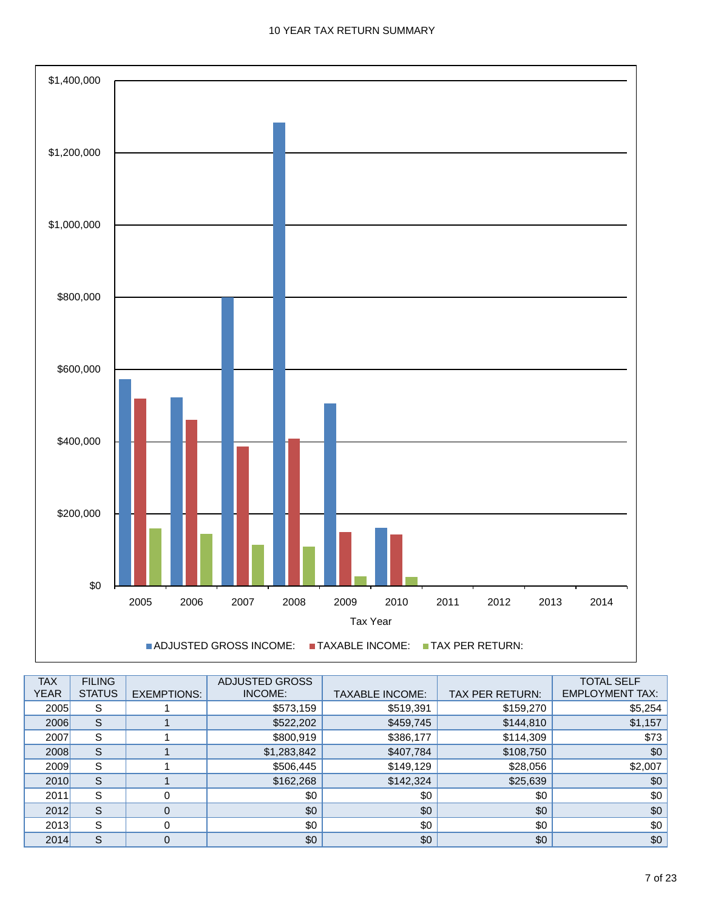

| <b>TAX</b><br><b>YEAR</b> | <b>FILING</b><br><b>STATUS</b> | <b>EXEMPTIONS:</b> | ADJUSTED GROSS<br>INCOME: | <b>TAXABLE INCOME:</b> | <b>TAX PER RETURN:</b> | <b>TOTAL SELF</b><br><b>EMPLOYMENT TAX:</b> |
|---------------------------|--------------------------------|--------------------|---------------------------|------------------------|------------------------|---------------------------------------------|
| 2005                      | S                              |                    | \$573,159                 | \$519,391              | \$159,270              | \$5,254                                     |
| 2006                      | S                              |                    | \$522,202                 | \$459,745              | \$144,810              | \$1,157                                     |
| 2007                      | S                              |                    | \$800,919                 | \$386,177              | \$114,309              | \$73                                        |
| 2008                      | S                              |                    | \$1,283,842               | \$407,784              | \$108,750              | \$0                                         |
| 2009                      | S                              |                    | \$506,445                 | \$149,129              | \$28,056               | \$2,007                                     |
| 2010                      | S                              |                    | \$162,268                 | \$142,324              | \$25,639               | \$0                                         |
| 2011                      | S                              | 0                  | \$0                       | \$0                    | \$0                    | \$0                                         |
| 2012                      | S                              | $\Omega$           | \$0                       | \$0                    | \$0                    | \$0                                         |
| 2013                      | S                              | 0                  | \$0                       | \$0                    | \$0                    | \$0                                         |
| 2014                      | S                              | $\mathbf 0$        | \$0                       | \$0                    | \$0                    | \$0                                         |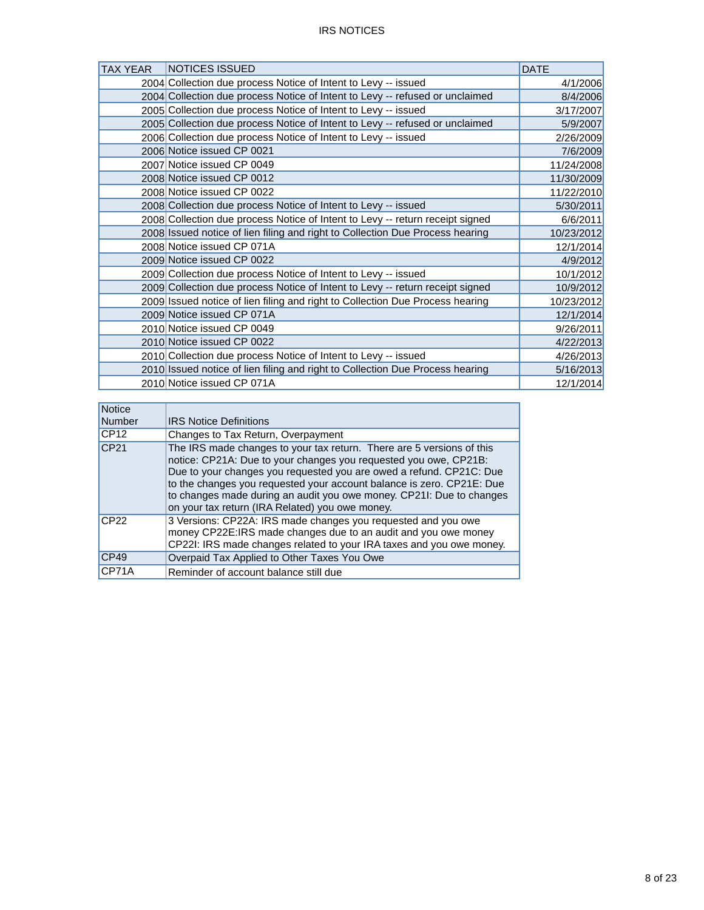| <b>TAX YEAR</b> | NOTICES ISSUED                                                                | <b>DATE</b> |
|-----------------|-------------------------------------------------------------------------------|-------------|
|                 | 2004 Collection due process Notice of Intent to Levy -- issued                | 4/1/2006    |
|                 | 2004 Collection due process Notice of Intent to Levy -- refused or unclaimed  | 8/4/2006    |
|                 | 2005 Collection due process Notice of Intent to Levy -- issued                | 3/17/2007   |
|                 | 2005 Collection due process Notice of Intent to Levy -- refused or unclaimed  | 5/9/2007    |
|                 | 2006 Collection due process Notice of Intent to Levy -- issued                | 2/26/2009   |
|                 | 2006 Notice issued CP 0021                                                    | 7/6/2009    |
|                 | 2007 Notice issued CP 0049                                                    | 11/24/2008  |
|                 | 2008 Notice issued CP 0012                                                    | 11/30/2009  |
|                 | 2008 Notice issued CP 0022                                                    | 11/22/2010  |
|                 | 2008 Collection due process Notice of Intent to Levy -- issued                | 5/30/2011   |
|                 | 2008 Collection due process Notice of Intent to Levy -- return receipt signed | 6/6/2011    |
|                 | 2008 Issued notice of lien filing and right to Collection Due Process hearing | 10/23/2012  |
|                 | 2008 Notice issued CP 071A                                                    | 12/1/2014   |
|                 | 2009 Notice issued CP 0022                                                    | 4/9/2012    |
|                 | 2009 Collection due process Notice of Intent to Levy -- issued                | 10/1/2012   |
|                 | 2009 Collection due process Notice of Intent to Levy -- return receipt signed | 10/9/2012   |
|                 | 2009 Issued notice of lien filing and right to Collection Due Process hearing | 10/23/2012  |
|                 | 2009 Notice issued CP 071A                                                    | 12/1/2014   |
|                 | 2010 Notice issued CP 0049                                                    | 9/26/2011   |
|                 | 2010 Notice issued CP 0022                                                    | 4/22/2013   |
|                 | 2010 Collection due process Notice of Intent to Levy -- issued                | 4/26/2013   |
|                 | 2010 Issued notice of lien filing and right to Collection Due Process hearing | 5/16/2013   |
|                 | 2010 Notice issued CP 071A                                                    | 12/1/2014   |

| <b>Notice</b>     |                                                                                                                                                                                                                                                                                                                                                                                                                      |
|-------------------|----------------------------------------------------------------------------------------------------------------------------------------------------------------------------------------------------------------------------------------------------------------------------------------------------------------------------------------------------------------------------------------------------------------------|
| <b>Number</b>     | <b>IRS Notice Definitions</b>                                                                                                                                                                                                                                                                                                                                                                                        |
| CP12              | Changes to Tax Return, Overpayment                                                                                                                                                                                                                                                                                                                                                                                   |
| CP21              | The IRS made changes to your tax return. There are 5 versions of this<br>notice: CP21A: Due to your changes you requested you owe, CP21B:<br>Due to your changes you requested you are owed a refund. CP21C: Due<br>to the changes you requested your account balance is zero. CP21E: Due<br>to changes made during an audit you owe money. CP21I: Due to changes<br>on your tax return (IRA Related) you owe money. |
| CP22              | 3 Versions: CP22A: IRS made changes you requested and you owe<br>money CP22E:IRS made changes due to an audit and you owe money<br>CP22I: IRS made changes related to your IRA taxes and you owe money.                                                                                                                                                                                                              |
| CP49              | Overpaid Tax Applied to Other Taxes You Owe                                                                                                                                                                                                                                                                                                                                                                          |
| CP <sub>71A</sub> | Reminder of account balance still due                                                                                                                                                                                                                                                                                                                                                                                |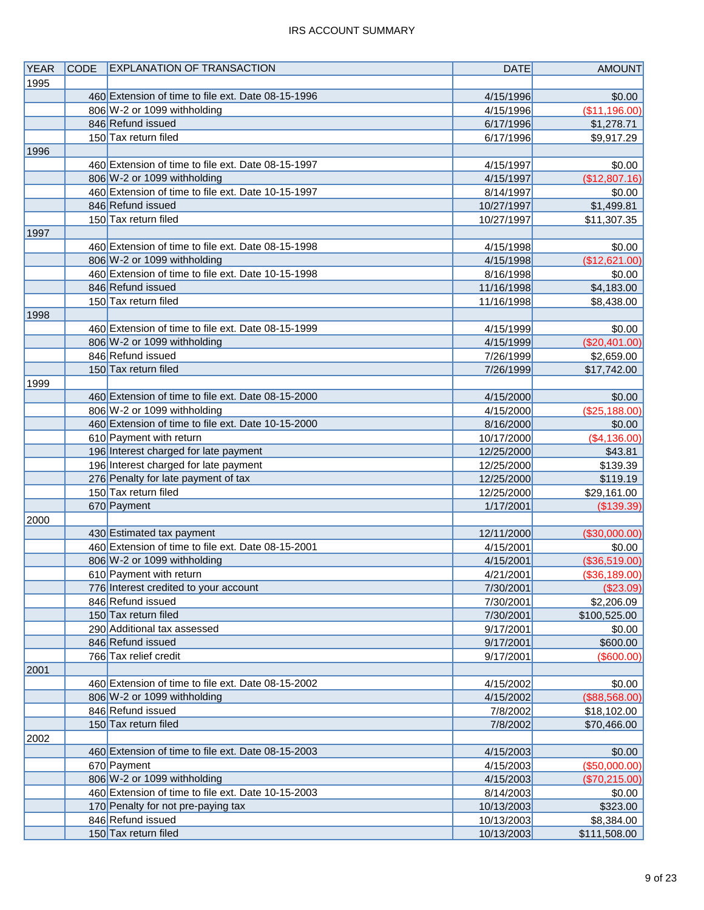| <b>YEAR</b> | <b>CODE</b> | <b>EXPLANATION OF TRANSACTION</b>                  | <b>DATE</b>            | <b>AMOUNT</b> |
|-------------|-------------|----------------------------------------------------|------------------------|---------------|
| 1995        |             |                                                    |                        |               |
|             |             | 460 Extension of time to file ext. Date 08-15-1996 | 4/15/1996              | \$0.00        |
|             |             | 806 W-2 or 1099 withholding                        | 4/15/1996              | (\$11,196.00) |
|             |             | 846 Refund issued                                  | 6/17/1996              | \$1,278.71    |
|             |             | 150 Tax return filed                               | 6/17/1996              | \$9,917.29    |
| 1996        |             |                                                    |                        |               |
|             |             | 460 Extension of time to file ext. Date 08-15-1997 | 4/15/1997              | \$0.00        |
|             |             | 806 W-2 or 1099 withholding                        | 4/15/1997              | (\$12,807.16) |
|             |             | 460 Extension of time to file ext. Date 10-15-1997 | 8/14/1997              | \$0.00        |
|             |             | 846 Refund issued                                  | 10/27/1997             | \$1,499.81    |
|             |             | 150 Tax return filed                               |                        |               |
|             |             |                                                    | 10/27/1997             | \$11,307.35   |
| 1997        |             |                                                    |                        |               |
|             |             | 460 Extension of time to file ext. Date 08-15-1998 | 4/15/1998              | \$0.00        |
|             |             | 806 W-2 or 1099 withholding                        | 4/15/1998              | (\$12,621.00) |
|             |             | 460 Extension of time to file ext. Date 10-15-1998 | 8/16/1998              | \$0.00        |
|             |             | 846 Refund issued                                  | 11/16/1998             | \$4,183.00    |
|             |             | 150 Tax return filed                               | 11/16/1998             | \$8,438.00    |
| 1998        |             |                                                    |                        |               |
|             |             | 460 Extension of time to file ext. Date 08-15-1999 | 4/15/1999              | \$0.00        |
|             |             | 806 W-2 or 1099 withholding                        | 4/15/1999              | (\$20,401.00) |
|             |             | 846 Refund issued                                  | 7/26/1999              | \$2,659.00    |
|             |             | 150 Tax return filed                               | 7/26/1999              | \$17,742.00   |
| 1999        |             |                                                    |                        |               |
|             |             | 460 Extension of time to file ext. Date 08-15-2000 | 4/15/2000              | \$0.00        |
|             |             | 806 W-2 or 1099 withholding                        | 4/15/2000              | (\$25,188.00) |
|             |             | 460 Extension of time to file ext. Date 10-15-2000 | 8/16/2000              | \$0.00        |
|             |             | 610 Payment with return                            | 10/17/2000             | (\$4,136.00)  |
|             |             | 196 Interest charged for late payment              | 12/25/2000             | \$43.81       |
|             |             | 196 Interest charged for late payment              | 12/25/2000             | \$139.39      |
|             |             | 276 Penalty for late payment of tax                | 12/25/2000             | \$119.19      |
|             |             | 150 Tax return filed                               | 12/25/2000             | \$29,161.00   |
|             |             | 670 Payment                                        | 1/17/2001              | (\$139.39)    |
| 2000        |             |                                                    |                        |               |
|             |             | 430 Estimated tax payment                          | 12/11/2000             | (\$30,000.00) |
|             |             | 460 Extension of time to file ext. Date 08-15-2001 | 4/15/2001              | \$0.00        |
|             |             | 806 W-2 or 1099 withholding                        | 4/15/2001              | (\$36,519.00) |
|             |             | 610 Payment with return                            | 4/21/2001              | (\$36,189.00) |
|             |             | 776 Interest credited to your account              | 7/30/2001              | (\$23.09)     |
|             |             | 846 Refund issued                                  |                        | \$2,206.09    |
|             |             | 150 Tax return filed                               | 7/30/2001              |               |
|             |             | 290 Additional tax assessed                        | 7/30/2001              | \$100,525.00  |
|             |             | 846 Refund issued                                  | 9/17/2001<br>9/17/2001 | \$0.00        |
|             |             |                                                    |                        | \$600.00      |
|             |             | 766 Tax relief credit                              | 9/17/2001              | (\$600.00)    |
| 2001        |             |                                                    |                        |               |
|             |             | 460 Extension of time to file ext. Date 08-15-2002 | 4/15/2002              | \$0.00        |
|             |             | 806 W-2 or 1099 withholding                        | 4/15/2002              | (\$88,568.00) |
|             |             | 846 Refund issued                                  | 7/8/2002               | \$18,102.00   |
|             |             | 150 Tax return filed                               | 7/8/2002               | \$70,466.00   |
| 2002        |             |                                                    |                        |               |
|             |             | 460 Extension of time to file ext. Date 08-15-2003 | 4/15/2003              | \$0.00        |
|             |             | 670 Payment                                        | 4/15/2003              | (\$50,000.00) |
|             |             | 806 W-2 or 1099 withholding                        | 4/15/2003              | (\$70,215.00) |
|             |             | 460 Extension of time to file ext. Date 10-15-2003 | 8/14/2003              | \$0.00        |
|             |             | 170 Penalty for not pre-paying tax                 | 10/13/2003             | \$323.00      |
|             |             | 846 Refund issued                                  | 10/13/2003             | \$8,384.00    |
|             |             | 150 Tax return filed                               | 10/13/2003             | \$111,508.00  |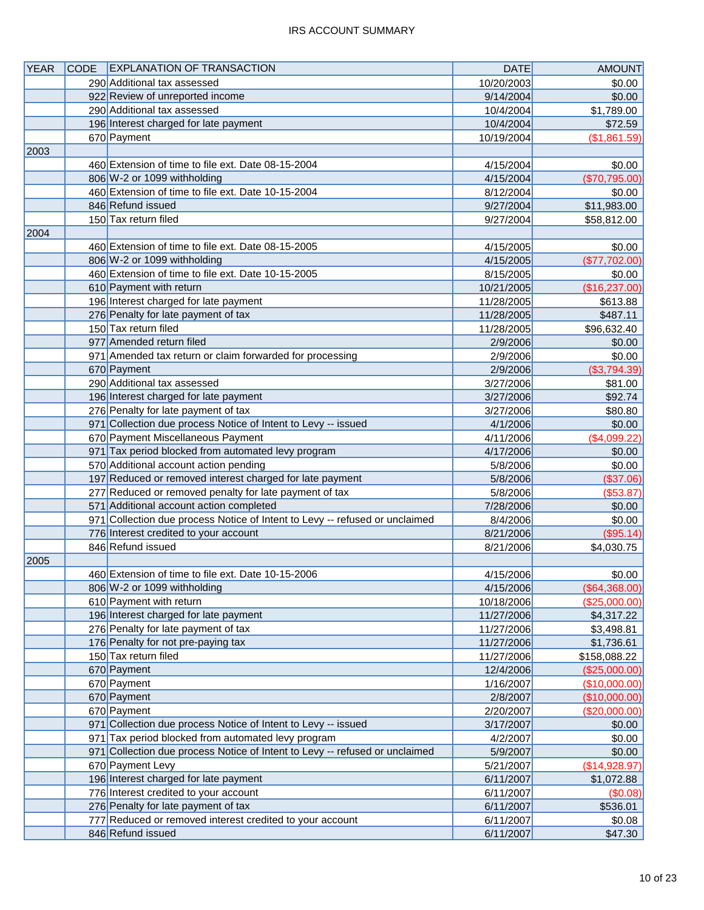### IRS ACCOUNT SUMMARY

| <b>YEAR</b> | <b>CODE</b> | <b>EXPLANATION OF TRANSACTION</b>                                                                                                 | <b>DATE</b> | AMOUNT           |
|-------------|-------------|-----------------------------------------------------------------------------------------------------------------------------------|-------------|------------------|
|             |             | 290 Additional tax assessed                                                                                                       | 10/20/2003  | \$0.00           |
|             |             | 922 Review of unreported income                                                                                                   | 9/14/2004   | \$0.00           |
|             |             | 290 Additional tax assessed                                                                                                       | 10/4/2004   | \$1,789.00       |
|             |             | 196 Interest charged for late payment                                                                                             | 10/4/2004   | \$72.59          |
|             |             | 670 Payment                                                                                                                       | 10/19/2004  | (\$1,861.59)     |
| 2003        |             |                                                                                                                                   |             |                  |
|             |             | 460 Extension of time to file ext. Date 08-15-2004                                                                                | 4/15/2004   | \$0.00           |
|             |             | 806 W-2 or 1099 withholding                                                                                                       | 4/15/2004   | (\$70,795.00)    |
|             |             | 460 Extension of time to file ext. Date 10-15-2004                                                                                | 8/12/2004   | \$0.00           |
|             |             | 846 Refund issued                                                                                                                 | 9/27/2004   | \$11,983.00      |
|             |             | 150 Tax return filed                                                                                                              | 9/27/2004   | \$58,812.00      |
| 2004        |             |                                                                                                                                   |             |                  |
|             |             | 460 Extension of time to file ext. Date 08-15-2005                                                                                | 4/15/2005   | \$0.00           |
|             |             | 806 W-2 or 1099 withholding                                                                                                       | 4/15/2005   | (\$77,702.00)    |
|             |             | 460 Extension of time to file ext. Date 10-15-2005                                                                                | 8/15/2005   | \$0.00           |
|             |             | 610 Payment with return                                                                                                           | 10/21/2005  | (\$16,237.00)    |
|             |             | 196 Interest charged for late payment                                                                                             | 11/28/2005  | \$613.88         |
|             |             | 276 Penalty for late payment of tax                                                                                               | 11/28/2005  | \$487.11         |
|             |             | 150 Tax return filed                                                                                                              | 11/28/2005  | \$96,632.40      |
|             |             | 977 Amended return filed                                                                                                          | 2/9/2006    | \$0.00           |
|             |             | 971 Amended tax return or claim forwarded for processing                                                                          | 2/9/2006    | \$0.00           |
|             |             | 670 Payment                                                                                                                       | 2/9/2006    | ( \$3,794.39)    |
|             |             | 290 Additional tax assessed                                                                                                       | 3/27/2006   | \$81.00          |
|             |             | 196 Interest charged for late payment                                                                                             | 3/27/2006   | \$92.74          |
|             |             | 276 Penalty for late payment of tax                                                                                               | 3/27/2006   | \$80.80          |
|             |             | 971 Collection due process Notice of Intent to Levy -- issued                                                                     | 4/1/2006    | \$0.00           |
|             |             | 670 Payment Miscellaneous Payment                                                                                                 | 4/11/2006   | (\$4,099.22)     |
|             |             | 971 Tax period blocked from automated levy program                                                                                | 4/17/2006   | \$0.00           |
|             |             | 570 Additional account action pending                                                                                             | 5/8/2006    | \$0.00           |
|             |             | 197 Reduced or removed interest charged for late payment                                                                          | 5/8/2006    | (\$37.06)        |
|             |             | 277 Reduced or removed penalty for late payment of tax                                                                            | 5/8/2006    | ( \$53.87)       |
|             |             | 571 Additional account action completed                                                                                           | 7/28/2006   | \$0.00           |
|             |             | 971 Collection due process Notice of Intent to Levy -- refused or unclaimed                                                       | 8/4/2006    | \$0.00           |
|             |             | 776 Interest credited to your account                                                                                             | 8/21/2006   | $($ \$95.14) $ $ |
|             |             | 846 Refund issued                                                                                                                 | 8/21/2006   | \$4,030.75       |
| 2005        |             |                                                                                                                                   |             |                  |
|             |             | 460 Extension of time to file ext. Date 10-15-2006                                                                                | 4/15/2006   | \$0.00           |
|             |             | 806 W-2 or 1099 withholding                                                                                                       | 4/15/2006   | (\$64,368.00)    |
|             |             | 610 Payment with return                                                                                                           | 10/18/2006  | (\$25,000.00)    |
|             |             | 196 Interest charged for late payment                                                                                             | 11/27/2006  | \$4,317.22       |
|             |             | 276 Penalty for late payment of tax                                                                                               | 11/27/2006  | \$3,498.81       |
|             |             | 176 Penalty for not pre-paying tax                                                                                                | 11/27/2006  | \$1,736.61       |
|             |             | 150 Tax return filed                                                                                                              | 11/27/2006  | \$158,088.22     |
|             |             | 670 Payment                                                                                                                       | 12/4/2006   | (\$25,000.00)    |
|             |             | 670 Payment                                                                                                                       | 1/16/2007   | (\$10,000.00)    |
|             |             | 670 Payment                                                                                                                       | 2/8/2007    | (\$10,000.00)    |
|             |             | 670 Payment                                                                                                                       | 2/20/2007   | (\$20,000.00)    |
|             |             | 971 Collection due process Notice of Intent to Levy -- issued                                                                     | 3/17/2007   | \$0.00           |
|             |             | 971 Tax period blocked from automated levy program<br>971 Collection due process Notice of Intent to Levy -- refused or unclaimed | 4/2/2007    | \$0.00           |
|             |             |                                                                                                                                   | 5/9/2007    | \$0.00           |
|             |             | 670 Payment Levy                                                                                                                  | 5/21/2007   | (\$14,928.97)    |
|             |             | 196 Interest charged for late payment                                                                                             | 6/11/2007   | \$1,072.88       |
|             |             | 776 Interest credited to your account<br>276 Penalty for late payment of tax                                                      | 6/11/2007   | $($ \$0.08) $ $  |
|             |             | 777 Reduced or removed interest credited to your account                                                                          | 6/11/2007   | \$536.01         |
|             |             | 846 Refund issued                                                                                                                 | 6/11/2007   | \$0.08           |
|             |             |                                                                                                                                   | 6/11/2007   | \$47.30          |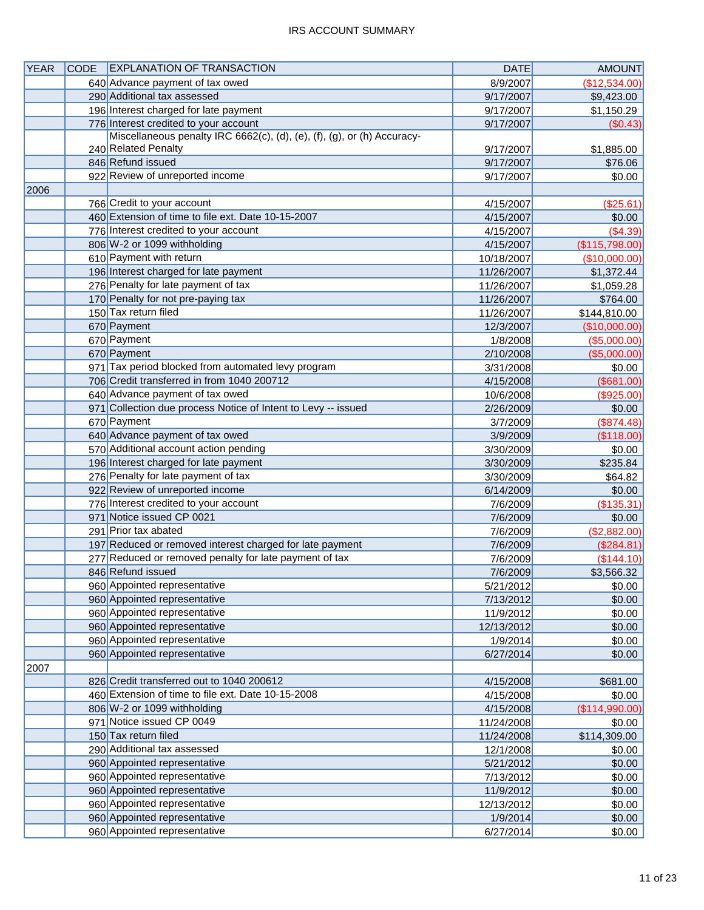### IRS ACCOUNT SUMMARY

| <b>YEAR</b> | <b>CODE</b> | <b>EXPLANATION OF TRANSACTION</b>                                       | <b>DATE</b> | <b>AMOUNT</b>  |
|-------------|-------------|-------------------------------------------------------------------------|-------------|----------------|
|             |             | 640 Advance payment of tax owed                                         | 8/9/2007    | (\$12,534.00)  |
|             |             | 290 Additional tax assessed                                             | 9/17/2007   | \$9,423.00     |
|             |             | 196 Interest charged for late payment                                   | 9/17/2007   | \$1,150.29     |
|             |             | 776 Interest credited to your account                                   | 9/17/2007   | (\$0.43)       |
|             |             | Miscellaneous penalty IRC 6662(c), (d), (e), (f), (g), or (h) Accuracy- |             |                |
|             |             | 240 Related Penalty                                                     | 9/17/2007   | \$1,885.00     |
|             |             | 846 Refund issued                                                       | 9/17/2007   | \$76.06        |
|             |             | 922 Review of unreported income                                         | 9/17/2007   | \$0.00         |
| 2006        |             |                                                                         |             |                |
|             |             | 766 Credit to your account                                              | 4/15/2007   | (\$25.61)      |
|             |             | 460 Extension of time to file ext. Date 10-15-2007                      | 4/15/2007   | \$0.00         |
|             |             | 776 Interest credited to your account                                   | 4/15/2007   | (\$4.39)       |
|             |             | 806 W-2 or 1099 withholding                                             | 4/15/2007   | (\$115,798.00) |
|             |             | 610 Payment with return                                                 | 10/18/2007  | (\$10,000.00)  |
|             |             | 196 Interest charged for late payment                                   | 11/26/2007  | \$1,372.44     |
|             |             | 276 Penalty for late payment of tax                                     | 11/26/2007  | \$1,059.28     |
|             |             | 170 Penalty for not pre-paying tax                                      | 11/26/2007  | \$764.00       |
|             |             | 150 Tax return filed                                                    | 11/26/2007  | \$144,810.00   |
|             |             | 670 Payment                                                             | 12/3/2007   | (\$10,000.00)  |
|             |             | 670 Payment                                                             | 1/8/2008    | (\$5,000.00)   |
|             |             | 670 Payment                                                             | 2/10/2008   | (\$5,000.00)   |
|             |             | 971 Tax period blocked from automated levy program                      | 3/31/2008   | \$0.00         |
|             |             | 706 Credit transferred in from 1040 200712                              | 4/15/2008   | (\$681.00)     |
|             |             | 640 Advance payment of tax owed                                         | 10/6/2008   | (\$925.00)     |
|             |             | 971 Collection due process Notice of Intent to Levy -- issued           | 2/26/2009   | \$0.00         |
|             |             | 670 Payment                                                             | 3/7/2009    | (\$874.48)     |
|             |             | 640 Advance payment of tax owed                                         | 3/9/2009    | (\$118.00)     |
|             |             | 570 Additional account action pending                                   | 3/30/2009   | \$0.00         |
|             |             | 196 Interest charged for late payment                                   | 3/30/2009   | \$235.84       |
|             |             | 276 Penalty for late payment of tax                                     | 3/30/2009   | \$64.82        |
|             |             | 922 Review of unreported income                                         | 6/14/2009   | \$0.00         |
|             |             | 776 Interest credited to your account                                   | 7/6/2009    | (\$135.31)     |
|             |             | 971 Notice issued CP 0021                                               | 7/6/2009    | \$0.00         |
|             |             | 291 Prior tax abated                                                    | 7/6/2009    | (\$2,882.00)   |
|             |             | 197 Reduced or removed interest charged for late payment                | 7/6/2009    | (\$284.81)     |
|             |             | 277 Reduced or removed penalty for late payment of tax                  | 7/6/2009    | (\$144.10)     |
|             |             | 846 Refund issued                                                       | 7/6/2009    | \$3,566.32     |
|             |             | 960 Appointed representative                                            | 5/21/2012   | \$0.00         |
|             |             | 960 Appointed representative                                            | 7/13/2012   | \$0.00         |
|             |             | 960 Appointed representative                                            | 11/9/2012   | \$0.00         |
|             |             | 960 Appointed representative                                            | 12/13/2012  | \$0.00         |
|             |             | 960 Appointed representative                                            | 1/9/2014    | \$0.00         |
|             |             | 960 Appointed representative                                            | 6/27/2014   | \$0.00         |
| 2007        |             |                                                                         |             |                |
|             |             | 826 Credit transferred out to 1040 200612                               | 4/15/2008   | \$681.00       |
|             |             | 460 Extension of time to file ext. Date 10-15-2008                      | 4/15/2008   | \$0.00         |
|             |             | 806 W-2 or 1099 withholding                                             | 4/15/2008   | (\$114,990.00) |
|             |             | 971 Notice issued CP 0049                                               | 11/24/2008  | \$0.00         |
|             |             | 150 Tax return filed                                                    | 11/24/2008  | \$114,309.00   |
|             |             | 290 Additional tax assessed                                             | 12/1/2008   | \$0.00         |
|             |             | 960 Appointed representative                                            | 5/21/2012   | \$0.00         |
|             |             | 960 Appointed representative                                            | 7/13/2012   | \$0.00         |
|             |             | 960 Appointed representative                                            | 11/9/2012   | \$0.00         |
|             |             | 960 Appointed representative                                            | 12/13/2012  | \$0.00         |
|             |             | 960 Appointed representative                                            | 1/9/2014    | \$0.00         |
|             |             | 960 Appointed representative                                            | 6/27/2014   | \$0.00         |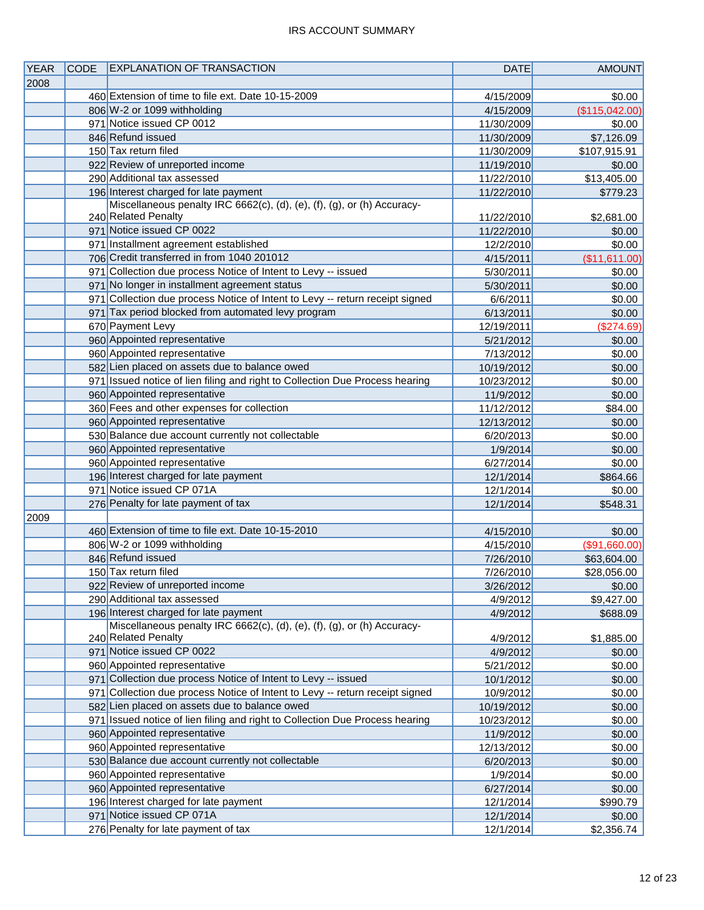| <b>YEAR</b> | <b>CODE</b> | <b>EXPLANATION OF TRANSACTION</b>                                            | <b>DATE</b> | <b>AMOUNT</b>  |
|-------------|-------------|------------------------------------------------------------------------------|-------------|----------------|
| 2008        |             |                                                                              |             |                |
|             |             | 460 Extension of time to file ext. Date 10-15-2009                           | 4/15/2009   | \$0.00         |
|             |             | 806 W-2 or 1099 withholding                                                  | 4/15/2009   | (\$115,042.00) |
|             |             | 971 Notice issued CP 0012                                                    | 11/30/2009  | \$0.00         |
|             |             | 846 Refund issued                                                            | 11/30/2009  | \$7,126.09     |
|             |             | 150 Tax return filed                                                         | 11/30/2009  | \$107,915.91   |
|             |             | 922 Review of unreported income                                              | 11/19/2010  | \$0.00         |
|             |             | 290 Additional tax assessed                                                  | 11/22/2010  | \$13,405.00    |
|             |             | 196 Interest charged for late payment                                        | 11/22/2010  | \$779.23       |
|             |             | Miscellaneous penalty IRC 6662(c), (d), (e), (f), (g), or (h) Accuracy-      |             |                |
|             |             | 240 Related Penalty                                                          | 11/22/2010  | \$2,681.00     |
|             |             | 971 Notice issued CP 0022                                                    | 11/22/2010  | \$0.00         |
|             |             | 971 Installment agreement established                                        | 12/2/2010   | \$0.00         |
|             |             | 706 Credit transferred in from 1040 201012                                   | 4/15/2011   | (\$11,611.00)  |
|             |             | 971 Collection due process Notice of Intent to Levy -- issued                | 5/30/2011   | \$0.00         |
|             |             | 971 No longer in installment agreement status                                | 5/30/2011   | \$0.00         |
|             |             | 971 Collection due process Notice of Intent to Levy -- return receipt signed | 6/6/2011    | \$0.00         |
|             |             | 971 Tax period blocked from automated levy program                           | 6/13/2011   | \$0.00         |
|             |             | 670 Payment Levy                                                             | 12/19/2011  | (\$274.69)     |
|             |             | 960 Appointed representative                                                 | 5/21/2012   | \$0.00         |
|             |             | 960 Appointed representative                                                 | 7/13/2012   | \$0.00         |
|             |             | 582 Lien placed on assets due to balance owed                                | 10/19/2012  | \$0.00         |
|             |             | 971 Issued notice of lien filing and right to Collection Due Process hearing | 10/23/2012  | \$0.00         |
|             |             | 960 Appointed representative                                                 | 11/9/2012   | \$0.00         |
|             |             | 360 Fees and other expenses for collection                                   | 11/12/2012  | \$84.00        |
|             |             | 960 Appointed representative                                                 | 12/13/2012  | \$0.00         |
|             |             | 530 Balance due account currently not collectable                            | 6/20/2013   | \$0.00         |
|             |             | 960 Appointed representative                                                 | 1/9/2014    | \$0.00         |
|             |             | 960 Appointed representative                                                 | 6/27/2014   | \$0.00         |
|             |             | 196 Interest charged for late payment                                        | 12/1/2014   | \$864.66       |
|             |             | 971 Notice issued CP 071A                                                    | 12/1/2014   | \$0.00         |
|             |             | 276 Penalty for late payment of tax                                          | 12/1/2014   | \$548.31       |
| 2009        |             |                                                                              |             |                |
|             |             | 460 Extension of time to file ext. Date 10-15-2010                           | 4/15/2010   | \$0.00         |
|             |             | 806 W-2 or 1099 withholding                                                  | 4/15/2010   | (\$91,660.00)  |
|             |             | 846 Refund issued                                                            | 7/26/2010   | \$63,604.00    |
|             |             | 150 Tax return filed                                                         | 7/26/2010   | \$28,056.00    |
|             |             | 922 Review of unreported income                                              | 3/26/2012   | \$0.00         |
|             |             | 290 Additional tax assessed                                                  | 4/9/2012    | \$9,427.00     |
|             |             | 196 Interest charged for late payment                                        | 4/9/2012    | \$688.09       |
|             |             | Miscellaneous penalty IRC 6662(c), (d), (e), (f), (g), or (h) Accuracy-      |             |                |
|             |             | 240 Related Penalty                                                          | 4/9/2012    | \$1,885.00     |
|             |             | 971 Notice issued CP 0022                                                    | 4/9/2012    | \$0.00         |
|             |             | 960 Appointed representative                                                 | 5/21/2012   | \$0.00         |
|             |             | 971 Collection due process Notice of Intent to Levy -- issued                | 10/1/2012   | \$0.00         |
|             |             | 971 Collection due process Notice of Intent to Levy -- return receipt signed | 10/9/2012   | \$0.00         |
|             |             | 582 Lien placed on assets due to balance owed                                | 10/19/2012  | \$0.00         |
|             |             | 971 Issued notice of lien filing and right to Collection Due Process hearing | 10/23/2012  | \$0.00         |
|             |             | 960 Appointed representative                                                 | 11/9/2012   | \$0.00         |
|             |             | 960 Appointed representative                                                 | 12/13/2012  | \$0.00         |
|             |             | 530 Balance due account currently not collectable                            | 6/20/2013   | \$0.00         |
|             |             | 960 Appointed representative                                                 | 1/9/2014    | \$0.00         |
|             |             | 960 Appointed representative                                                 | 6/27/2014   | \$0.00         |
|             |             | 196 Interest charged for late payment<br>971 Notice issued CP 071A           | 12/1/2014   | \$990.79       |
|             |             | 276 Penalty for late payment of tax                                          | 12/1/2014   | \$0.00         |
|             |             |                                                                              | 12/1/2014   | \$2,356.74     |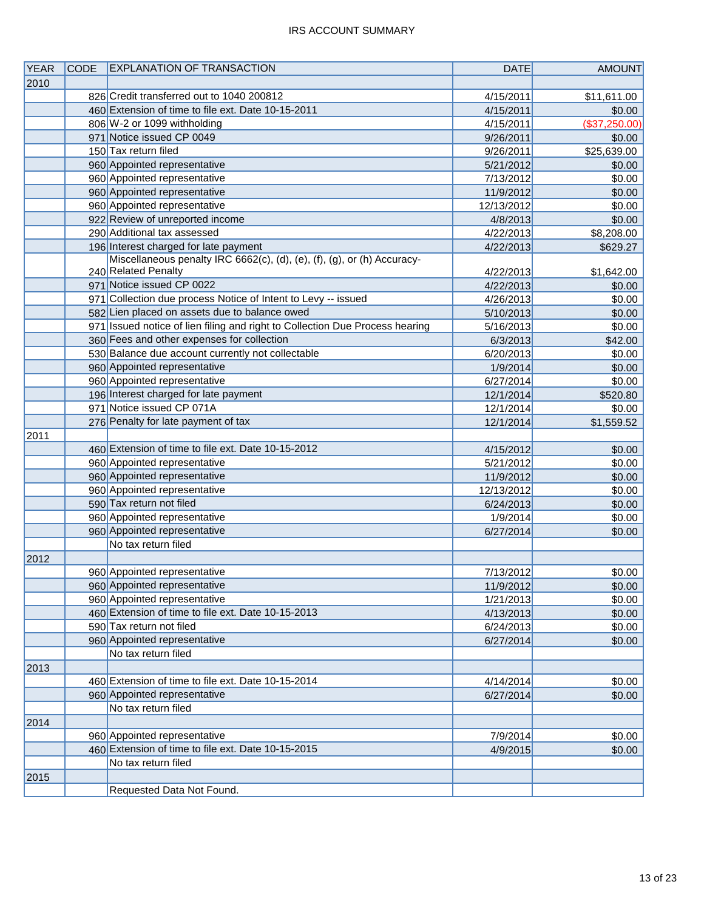| <b>YEAR</b> | <b>CODE</b> | <b>EXPLANATION OF TRANSACTION</b>                                            | <b>DATE</b> | <b>AMOUNT</b> |
|-------------|-------------|------------------------------------------------------------------------------|-------------|---------------|
| 2010        |             |                                                                              |             |               |
|             |             | 826 Credit transferred out to 1040 200812                                    | 4/15/2011   | \$11,611.00   |
|             |             | 460 Extension of time to file ext. Date 10-15-2011                           | 4/15/2011   | \$0.00        |
|             |             | 806 W-2 or 1099 withholding                                                  | 4/15/2011   | (\$37,250.00) |
|             |             | 971 Notice issued CP 0049                                                    | 9/26/2011   | \$0.00        |
|             |             | 150 Tax return filed                                                         | 9/26/2011   | \$25,639.00   |
|             |             | 960 Appointed representative                                                 | 5/21/2012   | \$0.00        |
|             |             | 960 Appointed representative                                                 | 7/13/2012   | \$0.00        |
|             |             | 960 Appointed representative                                                 | 11/9/2012   | \$0.00        |
|             |             | 960 Appointed representative                                                 | 12/13/2012  | \$0.00        |
|             |             | 922 Review of unreported income                                              | 4/8/2013    | \$0.00        |
|             |             | 290 Additional tax assessed                                                  | 4/22/2013   | \$8,208.00    |
|             |             | 196 Interest charged for late payment                                        | 4/22/2013   | \$629.27      |
|             |             | Miscellaneous penalty IRC 6662(c), (d), (e), (f), (g), or (h) Accuracy-      |             |               |
|             |             | 240 Related Penalty                                                          | 4/22/2013   | \$1,642.00    |
|             |             | 971 Notice issued CP 0022                                                    | 4/22/2013   | \$0.00        |
|             |             | 971 Collection due process Notice of Intent to Levy -- issued                | 4/26/2013   | \$0.00        |
|             |             | 582 Lien placed on assets due to balance owed                                | 5/10/2013   | \$0.00        |
|             |             | 971 Issued notice of lien filing and right to Collection Due Process hearing | 5/16/2013   | \$0.00        |
|             |             | 360 Fees and other expenses for collection                                   | 6/3/2013    | \$42.00       |
|             |             | 530 Balance due account currently not collectable                            | 6/20/2013   | \$0.00        |
|             |             | 960 Appointed representative                                                 | 1/9/2014    | \$0.00        |
|             |             | 960 Appointed representative                                                 | 6/27/2014   | \$0.00        |
|             |             | 196 Interest charged for late payment                                        | 12/1/2014   | \$520.80      |
|             |             | 971 Notice issued CP 071A                                                    | 12/1/2014   | \$0.00        |
|             |             | 276 Penalty for late payment of tax                                          | 12/1/2014   | \$1,559.52    |
| 2011        |             |                                                                              |             |               |
|             |             | 460 Extension of time to file ext. Date 10-15-2012                           | 4/15/2012   | \$0.00        |
|             |             | 960 Appointed representative                                                 | 5/21/2012   | \$0.00        |
|             |             | 960 Appointed representative                                                 | 11/9/2012   | \$0.00        |
|             |             | 960 Appointed representative                                                 | 12/13/2012  | \$0.00        |
|             |             | 590 Tax return not filed                                                     | 6/24/2013   | \$0.00        |
|             |             | 960 Appointed representative                                                 | 1/9/2014    | \$0.00        |
|             |             | 960 Appointed representative                                                 | 6/27/2014   | \$0.00        |
|             |             | No tax return filed                                                          |             |               |
| 2012        |             |                                                                              |             |               |
|             |             | 960 Appointed representative                                                 | 7/13/2012   | \$0.00        |
|             |             | 960 Appointed representative                                                 | 11/9/2012   | \$0.00        |
|             |             | 960 Appointed representative                                                 | 1/21/2013   | \$0.00        |
|             |             | 460 Extension of time to file ext. Date 10-15-2013                           | 4/13/2013   | \$0.00        |
|             |             | 590 Tax return not filed                                                     | 6/24/2013   | \$0.00        |
|             |             | 960 Appointed representative                                                 | 6/27/2014   | \$0.00        |
|             |             | No tax return filed                                                          |             |               |
| 2013        |             |                                                                              |             |               |
|             |             | 460 Extension of time to file ext. Date 10-15-2014                           | 4/14/2014   | \$0.00        |
|             |             | 960 Appointed representative                                                 | 6/27/2014   | \$0.00        |
|             |             | No tax return filed                                                          |             |               |
| 2014        |             |                                                                              |             |               |
|             |             | 960 Appointed representative                                                 | 7/9/2014    | \$0.00        |
|             |             | 460 Extension of time to file ext. Date 10-15-2015                           | 4/9/2015    | \$0.00        |
|             |             | No tax return filed                                                          |             |               |
| 2015        |             |                                                                              |             |               |
|             |             | Requested Data Not Found.                                                    |             |               |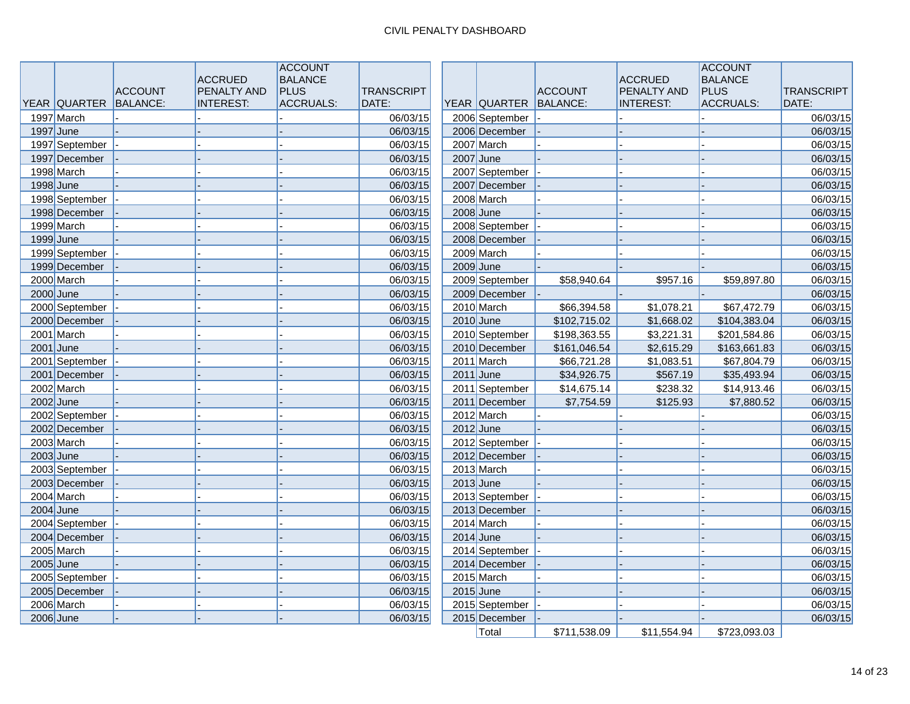|             |                |                | <b>ACCRUED</b>     | <b>ACCOUNT</b><br><b>BALANCE</b> |                   |                       |                | <b>ACCRUED</b>   | <b>ACCOUNT</b><br><b>BALANCE</b> |                   |
|-------------|----------------|----------------|--------------------|----------------------------------|-------------------|-----------------------|----------------|------------------|----------------------------------|-------------------|
|             |                | <b>ACCOUNT</b> | <b>PENALTY AND</b> | <b>PLUS</b>                      | <b>TRANSCRIPT</b> |                       | <b>ACCOUNT</b> | PENALTY AND      | <b>PLUS</b>                      | <b>TRANSCRIPT</b> |
|             | YEAR QUARTER   | BALANCE:       | <b>INTEREST:</b>   | <b>ACCRUALS:</b>                 | DATE:             | YEAR QUARTER BALANCE: |                | <b>INTEREST:</b> | <b>ACCRUALS:</b>                 | DATE:             |
|             | 1997 March     |                |                    |                                  | 06/03/15          | 2006 September        |                |                  |                                  | 06/03/15          |
|             | $1997$ June    |                |                    |                                  | 06/03/15          | 2006 December         |                |                  |                                  | 06/03/15          |
|             | 1997 September |                |                    |                                  | 06/03/15          | 2007 March            |                |                  |                                  | 06/03/15          |
|             | 1997 December  |                |                    |                                  | 06/03/15          | $2007$ June           |                |                  |                                  | 06/03/15          |
|             | 1998 March     |                |                    |                                  | 06/03/15          | 2007 September        |                |                  |                                  | 06/03/15          |
|             | 1998 June      |                |                    |                                  | 06/03/15          | 2007 December         |                |                  |                                  | 06/03/15          |
|             | 1998 September |                |                    |                                  | 06/03/15          | 2008 March            |                |                  |                                  | 06/03/15          |
|             | 1998 December  |                |                    |                                  | 06/03/15          | $2008$ June           |                |                  |                                  | 06/03/15          |
|             | 1999 March     |                |                    |                                  | 06/03/15          | 2008 September        |                |                  |                                  | 06/03/15          |
|             | 1999 June      |                |                    |                                  | 06/03/15          | 2008 December         |                |                  |                                  | 06/03/15          |
|             | 1999 September |                |                    |                                  | 06/03/15          | 2009 March            |                |                  |                                  | 06/03/15          |
|             | 1999 December  |                |                    |                                  | 06/03/15          | 2009 June             |                |                  |                                  | 06/03/15          |
|             | 2000 March     |                |                    |                                  | 06/03/15          | 2009 September        | \$58,940.64    | \$957.16         | \$59,897.80                      | 06/03/15          |
|             | $2000$ June    |                |                    |                                  | 06/03/15          | 2009 December         |                |                  |                                  | 06/03/15          |
|             | 2000 September |                |                    |                                  | 06/03/15          | 2010 March            | \$66,394.58    | \$1,078.21       | \$67,472.79                      | 06/03/15          |
|             | 2000 December  |                |                    |                                  | 06/03/15          | $2010$ June           | \$102,715.02   | \$1,668.02       | \$104,383.04                     | 06/03/15          |
|             | 2001 March     |                |                    |                                  | 06/03/15          | 2010 September        | \$198,363.55   | \$3,221.31       | \$201,584.86                     | 06/03/15          |
|             | $2001$ June    |                |                    |                                  | 06/03/15          | 2010 December         | \$161,046.54   | \$2,615.29       | \$163,661.83                     | 06/03/15          |
|             | 2001 September |                |                    |                                  | 06/03/15          | 2011 March            | \$66,721.28    | \$1,083.51       | \$67,804.79                      | 06/03/15          |
|             | 2001 December  |                |                    |                                  | 06/03/15          | $2011$ June           | \$34,926.75    | \$567.19         | \$35,493.94                      | 06/03/15          |
|             | 2002 March     |                |                    |                                  | 06/03/15          | 2011 September        | \$14,675.14    | \$238.32         | \$14,913.46                      | 06/03/15          |
|             | $2002$ June    |                |                    |                                  | 06/03/15          | 2011 December         | \$7,754.59     | \$125.93         | \$7,880.52                       | 06/03/15          |
|             | 2002 September |                |                    |                                  | 06/03/15          | 2012 March            |                |                  |                                  | 06/03/15          |
|             | 2002 December  |                |                    |                                  | 06/03/15          | $2012$ June           |                |                  |                                  | 06/03/15          |
|             | 2003 March     |                |                    |                                  | 06/03/15          | 2012 September        |                |                  |                                  | 06/03/15          |
| $2003$ June |                |                |                    |                                  | 06/03/15          | 2012 December         |                |                  |                                  | 06/03/15          |
|             | 2003 September |                |                    |                                  | 06/03/15          | 2013 March            |                |                  |                                  | 06/03/15          |
|             | 2003 December  |                |                    |                                  | 06/03/15          | $2013$ June           |                |                  |                                  | 06/03/15          |
|             | 2004 March     |                |                    |                                  | 06/03/15          | 2013 September        |                |                  |                                  | 06/03/15          |
|             | $2004$ June    |                |                    |                                  | 06/03/15          | 2013 December         |                |                  |                                  | 06/03/15          |
|             | 2004 September |                |                    |                                  | 06/03/15          | 2014 March            |                |                  |                                  | 06/03/15          |
|             | 2004 December  |                |                    |                                  | 06/03/15          | $2014$ June           |                |                  |                                  | 06/03/15          |
|             | 2005 March     |                |                    |                                  | 06/03/15          | 2014 September        |                |                  |                                  | 06/03/15          |
|             | $2005$ June    |                |                    |                                  | 06/03/15          | 2014 December         |                |                  |                                  | 06/03/15          |
|             | 2005 September |                |                    |                                  | 06/03/15          | 2015 March            |                |                  |                                  | 06/03/15          |
|             | 2005 December  |                |                    |                                  | 06/03/15          | $2015$ June           |                |                  |                                  | 06/03/15          |
|             | 2006 March     |                |                    |                                  | 06/03/15          | 2015 September        |                |                  |                                  | 06/03/15          |
|             | $2006$ June    |                |                    |                                  | 06/03/15          | 2015 December         |                |                  |                                  | 06/03/15          |
|             |                |                |                    |                                  |                   | Total                 | \$711,538.09   | \$11,554.94      | \$723,093.03                     |                   |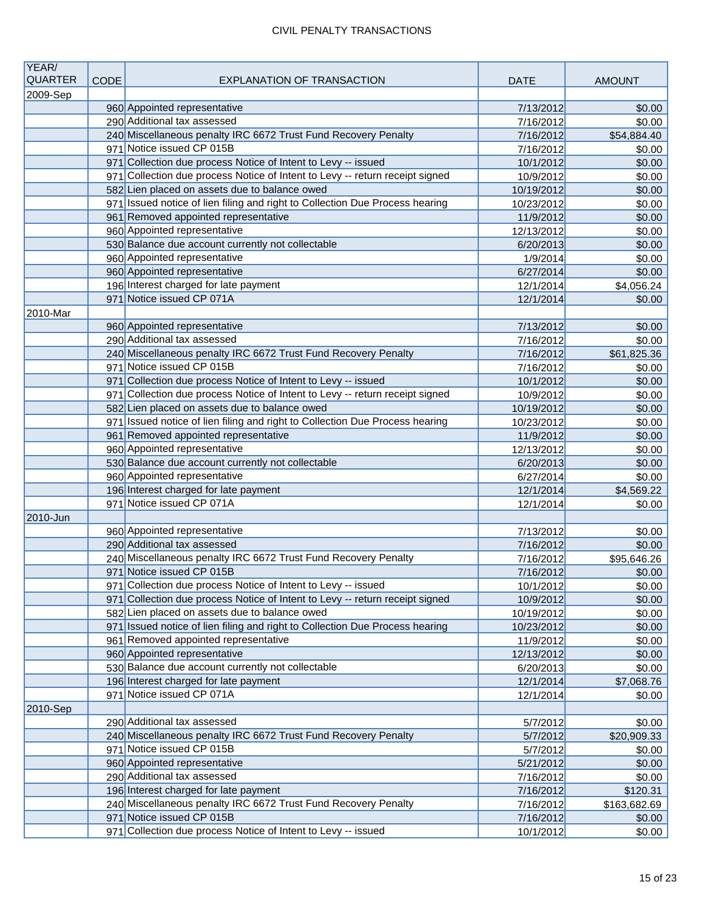| YEAR/<br><b>QUARTER</b> |             | <b>EXPLANATION OF TRANSACTION</b>                                            |                        |                       |
|-------------------------|-------------|------------------------------------------------------------------------------|------------------------|-----------------------|
|                         | <b>CODE</b> |                                                                              | <b>DATE</b>            | <b>AMOUNT</b>         |
| 2009-Sep                |             | 960 Appointed representative                                                 |                        | \$0.00                |
|                         |             | 290 Additional tax assessed                                                  | 7/13/2012<br>7/16/2012 | \$0.00                |
|                         |             | 240 Miscellaneous penalty IRC 6672 Trust Fund Recovery Penalty               | 7/16/2012              | \$54,884.40           |
|                         |             | 971 Notice issued CP 015B                                                    | 7/16/2012              | \$0.00                |
|                         |             | 971 Collection due process Notice of Intent to Levy -- issued                | 10/1/2012              | \$0.00                |
|                         |             | 971 Collection due process Notice of Intent to Levy -- return receipt signed | 10/9/2012              | \$0.00                |
|                         |             | 582 Lien placed on assets due to balance owed                                | 10/19/2012             | \$0.00                |
|                         |             | 971 Issued notice of lien filing and right to Collection Due Process hearing | 10/23/2012             | \$0.00                |
|                         |             | 961 Removed appointed representative                                         | 11/9/2012              | \$0.00                |
|                         |             | 960 Appointed representative                                                 | 12/13/2012             | \$0.00                |
|                         |             | 530 Balance due account currently not collectable                            | 6/20/2013              | \$0.00                |
|                         |             | 960 Appointed representative                                                 | 1/9/2014               | \$0.00                |
|                         |             | 960 Appointed representative                                                 | 6/27/2014              | \$0.00                |
|                         |             | 196 Interest charged for late payment                                        | 12/1/2014              | \$4,056.24            |
|                         |             | 971 Notice issued CP 071A                                                    | 12/1/2014              | \$0.00                |
| 2010-Mar                |             |                                                                              |                        |                       |
|                         |             | 960 Appointed representative                                                 | 7/13/2012              | \$0.00                |
|                         |             | 290 Additional tax assessed                                                  | 7/16/2012              | \$0.00                |
|                         |             | 240 Miscellaneous penalty IRC 6672 Trust Fund Recovery Penalty               | 7/16/2012              | \$61,825.36           |
|                         |             | 971 Notice issued CP 015B                                                    | 7/16/2012              | \$0.00                |
|                         |             | 971 Collection due process Notice of Intent to Levy -- issued                | 10/1/2012              | \$0.00                |
|                         |             | 971 Collection due process Notice of Intent to Levy -- return receipt signed | 10/9/2012              | \$0.00                |
|                         |             | 582 Lien placed on assets due to balance owed                                | 10/19/2012             | \$0.00                |
|                         |             | 971 Issued notice of lien filing and right to Collection Due Process hearing | 10/23/2012             | \$0.00                |
|                         |             | 961 Removed appointed representative                                         | 11/9/2012              | \$0.00                |
|                         |             | 960 Appointed representative                                                 | 12/13/2012             | \$0.00                |
|                         |             | 530 Balance due account currently not collectable                            | 6/20/2013              | \$0.00                |
|                         |             | 960 Appointed representative                                                 | 6/27/2014              | \$0.00                |
|                         |             | 196 Interest charged for late payment                                        | 12/1/2014              | \$4,569.22            |
|                         |             | 971 Notice issued CP 071A                                                    | 12/1/2014              | \$0.00                |
| 2010-Jun                |             |                                                                              |                        |                       |
|                         |             | 960 Appointed representative                                                 | 7/13/2012              | \$0.00                |
|                         |             | 290 Additional tax assessed                                                  | 7/16/2012              | \$0.00                |
|                         |             | 240 Miscellaneous penalty IRC 6672 Trust Fund Recovery Penalty               | 7/16/2012              | \$95,646.26           |
|                         |             | 971 Notice issued CP 015B                                                    | 7/16/2012              | \$0.00                |
|                         |             | 971 Collection due process Notice of Intent to Levy -- issued                | 10/1/2012              | \$0.00                |
|                         |             | 971 Collection due process Notice of Intent to Levy -- return receipt signed | 10/9/2012              | \$0.00                |
|                         |             | 582 Lien placed on assets due to balance owed                                | 10/19/2012             | \$0.00                |
|                         |             | 971 Issued notice of lien filing and right to Collection Due Process hearing | 10/23/2012             | \$0.00                |
|                         |             | 961 Removed appointed representative<br>960 Appointed representative         | 11/9/2012              | \$0.00                |
|                         |             |                                                                              | 12/13/2012             | \$0.00                |
|                         |             | 530 Balance due account currently not collectable                            | 6/20/2013              | \$0.00                |
|                         |             | 196 Interest charged for late payment<br>971 Notice issued CP 071A           | 12/1/2014              | \$7,068.76            |
|                         |             |                                                                              | 12/1/2014              | \$0.00                |
| 2010-Sep                |             | 290 Additional tax assessed                                                  |                        |                       |
|                         |             | 240 Miscellaneous penalty IRC 6672 Trust Fund Recovery Penalty               | 5/7/2012<br>5/7/2012   | \$0.00<br>\$20,909.33 |
|                         |             | 971 Notice issued CP 015B                                                    | 5/7/2012               | \$0.00                |
|                         |             | 960 Appointed representative                                                 | 5/21/2012              | \$0.00                |
|                         |             | 290 Additional tax assessed                                                  | 7/16/2012              | \$0.00                |
|                         |             | 196 Interest charged for late payment                                        | 7/16/2012              | \$120.31              |
|                         |             | 240 Miscellaneous penalty IRC 6672 Trust Fund Recovery Penalty               | 7/16/2012              | \$163,682.69          |
|                         |             | 971 Notice issued CP 015B                                                    | 7/16/2012              | \$0.00                |
|                         |             | 971 Collection due process Notice of Intent to Levy -- issued                | 10/1/2012              | \$0.00                |
|                         |             |                                                                              |                        |                       |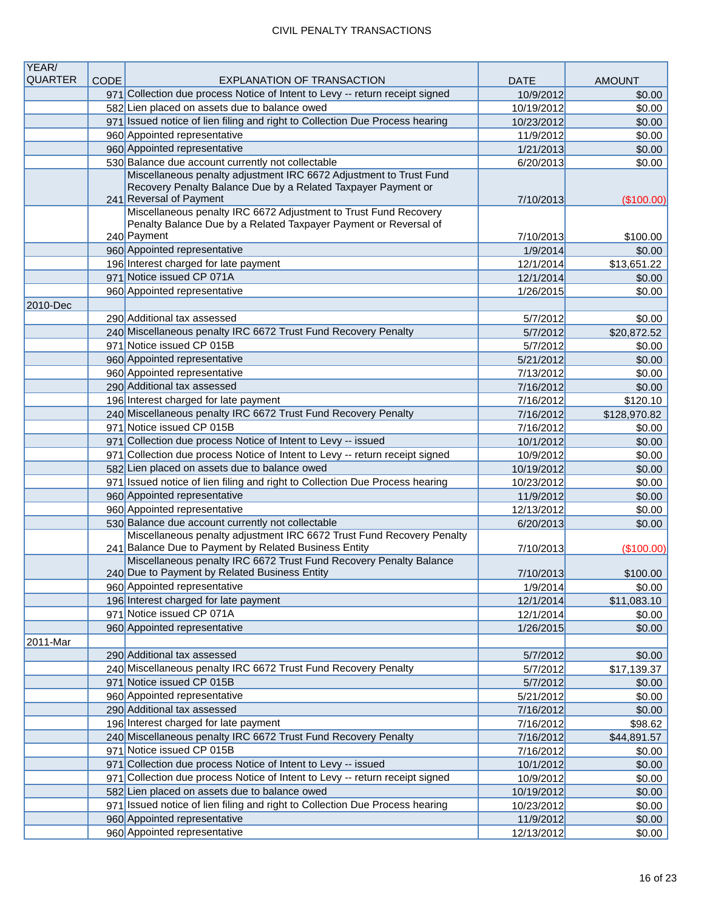| YEAR/          |      |                                                                                                                                               |             |               |
|----------------|------|-----------------------------------------------------------------------------------------------------------------------------------------------|-------------|---------------|
| <b>QUARTER</b> | CODE | <b>EXPLANATION OF TRANSACTION</b>                                                                                                             | <b>DATE</b> | <b>AMOUNT</b> |
|                |      | 971 Collection due process Notice of Intent to Levy -- return receipt signed                                                                  | 10/9/2012   | \$0.00        |
|                |      | 582 Lien placed on assets due to balance owed                                                                                                 | 10/19/2012  | \$0.00        |
|                |      | 971 Issued notice of lien filing and right to Collection Due Process hearing                                                                  | 10/23/2012  | \$0.00        |
|                |      | 960 Appointed representative<br>960 Appointed representative                                                                                  | 11/9/2012   | \$0.00        |
|                |      | 530 Balance due account currently not collectable                                                                                             | 1/21/2013   | \$0.00        |
|                |      | Miscellaneous penalty adjustment IRC 6672 Adjustment to Trust Fund                                                                            | 6/20/2013   | \$0.00        |
|                |      | Recovery Penalty Balance Due by a Related Taxpayer Payment or                                                                                 |             |               |
|                |      | 241 Reversal of Payment                                                                                                                       | 7/10/2013   | (\$100.00)    |
|                |      | Miscellaneous penalty IRC 6672 Adjustment to Trust Fund Recovery                                                                              |             |               |
|                |      | Penalty Balance Due by a Related Taxpayer Payment or Reversal of                                                                              |             |               |
|                |      | 240 Payment                                                                                                                                   | 7/10/2013   | \$100.00      |
|                |      | 960 Appointed representative                                                                                                                  | 1/9/2014    | \$0.00        |
|                |      | 196 Interest charged for late payment                                                                                                         | 12/1/2014   | \$13,651.22   |
|                |      | 971 Notice issued CP 071A                                                                                                                     | 12/1/2014   | \$0.00        |
|                |      | 960 Appointed representative                                                                                                                  | 1/26/2015   | \$0.00        |
| 2010-Dec       |      |                                                                                                                                               |             |               |
|                |      | 290 Additional tax assessed                                                                                                                   | 5/7/2012    | \$0.00        |
|                |      | 240 Miscellaneous penalty IRC 6672 Trust Fund Recovery Penalty                                                                                | 5/7/2012    | \$20,872.52   |
|                |      | 971 Notice issued CP 015B                                                                                                                     | 5/7/2012    | \$0.00        |
|                |      | 960 Appointed representative                                                                                                                  | 5/21/2012   | \$0.00        |
|                |      | 960 Appointed representative                                                                                                                  | 7/13/2012   | \$0.00        |
|                |      | 290 Additional tax assessed                                                                                                                   | 7/16/2012   | \$0.00        |
|                |      | 196 Interest charged for late payment                                                                                                         | 7/16/2012   | \$120.10      |
|                |      | 240 Miscellaneous penalty IRC 6672 Trust Fund Recovery Penalty                                                                                | 7/16/2012   | \$128,970.82  |
|                |      | 971 Notice issued CP 015B                                                                                                                     | 7/16/2012   | \$0.00        |
|                |      | 971 Collection due process Notice of Intent to Levy -- issued                                                                                 | 10/1/2012   | \$0.00        |
|                |      | 971 Collection due process Notice of Intent to Levy -- return receipt signed                                                                  | 10/9/2012   | \$0.00        |
|                |      | 582 Lien placed on assets due to balance owed                                                                                                 | 10/19/2012  | \$0.00        |
|                |      | 971 Issued notice of lien filing and right to Collection Due Process hearing                                                                  | 10/23/2012  | \$0.00        |
|                |      | 960 Appointed representative                                                                                                                  | 11/9/2012   | \$0.00        |
|                |      | 960 Appointed representative                                                                                                                  | 12/13/2012  | \$0.00        |
|                |      | 530 Balance due account currently not collectable                                                                                             | 6/20/2013   | \$0.00        |
|                |      | Miscellaneous penalty adjustment IRC 6672 Trust Fund Recovery Penalty<br>241 Balance Due to Payment by Related Business Entity                | 7/10/2013   | (\$100.00)    |
|                |      | Miscellaneous penalty IRC 6672 Trust Fund Recovery Penalty Balance                                                                            |             |               |
|                |      | 240 Due to Payment by Related Business Entity                                                                                                 | 7/10/2013   | \$100.00      |
|                |      | 960 Appointed representative                                                                                                                  | 1/9/2014    | \$0.00        |
|                |      | 196 Interest charged for late payment                                                                                                         | 12/1/2014   | \$11,083.10   |
|                |      | 971 Notice issued CP 071A                                                                                                                     | 12/1/2014   | \$0.00        |
|                |      | 960 Appointed representative                                                                                                                  | 1/26/2015   | \$0.00        |
| 2011-Mar       |      |                                                                                                                                               |             |               |
|                |      | 290 Additional tax assessed                                                                                                                   | 5/7/2012    | \$0.00        |
|                |      | 240 Miscellaneous penalty IRC 6672 Trust Fund Recovery Penalty<br>971 Notice issued CP 015B                                                   | 5/7/2012    | \$17,139.37   |
|                |      |                                                                                                                                               | 5/7/2012    | \$0.00        |
|                |      | 960 Appointed representative<br>290 Additional tax assessed                                                                                   | 5/21/2012   | \$0.00        |
|                |      | 196 Interest charged for late payment                                                                                                         | 7/16/2012   | \$0.00        |
|                |      | 240 Miscellaneous penalty IRC 6672 Trust Fund Recovery Penalty                                                                                | 7/16/2012   | \$98.62       |
|                |      |                                                                                                                                               | 7/16/2012   | \$44,891.57   |
|                |      | 971 Notice issued CP 015B                                                                                                                     | 7/16/2012   | \$0.00        |
|                |      | 971 Collection due process Notice of Intent to Levy -- issued<br>971 Collection due process Notice of Intent to Levy -- return receipt signed | 10/1/2012   | \$0.00        |
|                |      |                                                                                                                                               | 10/9/2012   | \$0.00        |
|                |      | 582 Lien placed on assets due to balance owed                                                                                                 | 10/19/2012  | \$0.00        |
|                |      | 971 Issued notice of lien filing and right to Collection Due Process hearing<br>960 Appointed representative                                  | 10/23/2012  | \$0.00        |
|                |      | 960 Appointed representative                                                                                                                  | 11/9/2012   | \$0.00        |
|                |      |                                                                                                                                               | 12/13/2012  | \$0.00        |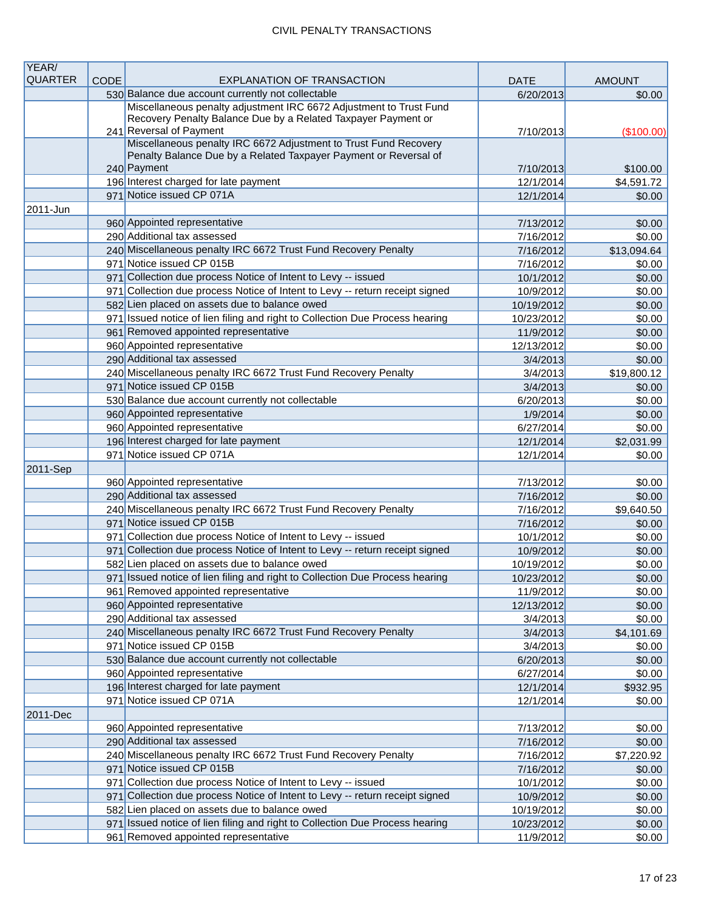| YEAR/          |             |                                                                                                                         |                        |                      |
|----------------|-------------|-------------------------------------------------------------------------------------------------------------------------|------------------------|----------------------|
| <b>QUARTER</b> | <b>CODE</b> | <b>EXPLANATION OF TRANSACTION</b>                                                                                       | <b>DATE</b>            | <b>AMOUNT</b>        |
|                |             | 530 Balance due account currently not collectable<br>Miscellaneous penalty adjustment IRC 6672 Adjustment to Trust Fund | 6/20/2013              | \$0.00               |
|                |             | Recovery Penalty Balance Due by a Related Taxpayer Payment or                                                           |                        |                      |
|                |             | 241 Reversal of Payment                                                                                                 | 7/10/2013              | (\$100.00)           |
|                |             | Miscellaneous penalty IRC 6672 Adjustment to Trust Fund Recovery                                                        |                        |                      |
|                |             | Penalty Balance Due by a Related Taxpayer Payment or Reversal of                                                        |                        |                      |
|                |             | 240 Payment                                                                                                             | 7/10/2013              | \$100.00             |
|                |             | 196 Interest charged for late payment                                                                                   | 12/1/2014              | \$4,591.72           |
|                |             | 971 Notice issued CP 071A                                                                                               | 12/1/2014              | \$0.00               |
| 2011-Jun       |             |                                                                                                                         |                        |                      |
|                |             | 960 Appointed representative<br>290 Additional tax assessed                                                             | 7/13/2012              | \$0.00               |
|                |             | 240 Miscellaneous penalty IRC 6672 Trust Fund Recovery Penalty                                                          | 7/16/2012              | \$0.00               |
|                |             | 971 Notice issued CP 015B                                                                                               | 7/16/2012              | \$13,094.64          |
|                |             | 971 Collection due process Notice of Intent to Levy -- issued                                                           | 7/16/2012<br>10/1/2012 | \$0.00<br>\$0.00     |
|                |             | 971 Collection due process Notice of Intent to Levy -- return receipt signed                                            | 10/9/2012              | \$0.00               |
|                |             | 582 Lien placed on assets due to balance owed                                                                           | 10/19/2012             | \$0.00               |
|                |             | 971 Issued notice of lien filing and right to Collection Due Process hearing                                            | 10/23/2012             | \$0.00               |
|                |             | 961 Removed appointed representative                                                                                    | 11/9/2012              | \$0.00               |
|                |             | 960 Appointed representative                                                                                            | 12/13/2012             | \$0.00               |
|                |             | 290 Additional tax assessed                                                                                             | 3/4/2013               | \$0.00               |
|                |             | 240 Miscellaneous penalty IRC 6672 Trust Fund Recovery Penalty                                                          | 3/4/2013               | \$19,800.12          |
|                |             | 971 Notice issued CP 015B                                                                                               | 3/4/2013               | \$0.00               |
|                |             | 530 Balance due account currently not collectable                                                                       | 6/20/2013              | \$0.00               |
|                |             | 960 Appointed representative                                                                                            | 1/9/2014               | \$0.00               |
|                |             | 960 Appointed representative                                                                                            | 6/27/2014              | \$0.00               |
|                |             | 196 Interest charged for late payment                                                                                   | 12/1/2014              | \$2,031.99           |
|                |             | 971 Notice issued CP 071A                                                                                               | 12/1/2014              | \$0.00               |
| 2011-Sep       |             |                                                                                                                         |                        |                      |
|                |             | 960 Appointed representative                                                                                            | 7/13/2012              | \$0.00               |
|                |             | 290 Additional tax assessed                                                                                             | 7/16/2012              | \$0.00               |
|                |             | 240 Miscellaneous penalty IRC 6672 Trust Fund Recovery Penalty                                                          | 7/16/2012              | \$9,640.50           |
|                |             | 971 Notice issued CP 015B                                                                                               | 7/16/2012              | \$0.00               |
|                |             | 971 Collection due process Notice of Intent to Levy -- issued                                                           | 10/1/2012              | \$0.00               |
|                |             | 971 Collection due process Notice of Intent to Levy -- return receipt signed                                            | 10/9/2012              | \$0.00               |
|                |             | 582 Lien placed on assets due to balance owed                                                                           | 10/19/2012             | \$0.00               |
|                |             | 971 Issued notice of lien filing and right to Collection Due Process hearing                                            | 10/23/2012             | \$0.00               |
|                |             | 961 Removed appointed representative                                                                                    | 11/9/2012              | \$0.00               |
|                |             | 960 Appointed representative                                                                                            | 12/13/2012             | \$0.00               |
|                |             | 290 Additional tax assessed                                                                                             | 3/4/2013               | \$0.00               |
|                |             | 240 Miscellaneous penalty IRC 6672 Trust Fund Recovery Penalty<br>971 Notice issued CP 015B                             | 3/4/2013<br>3/4/2013   | \$4,101.69<br>\$0.00 |
|                |             | 530 Balance due account currently not collectable                                                                       | 6/20/2013              | \$0.00               |
|                |             | 960 Appointed representative                                                                                            | 6/27/2014              | \$0.00               |
|                |             | 196 Interest charged for late payment                                                                                   | 12/1/2014              | \$932.95             |
|                |             | 971 Notice issued CP 071A                                                                                               | 12/1/2014              | \$0.00               |
| 2011-Dec       |             |                                                                                                                         |                        |                      |
|                |             | 960 Appointed representative                                                                                            | 7/13/2012              | \$0.00               |
|                |             | 290 Additional tax assessed                                                                                             | 7/16/2012              | \$0.00               |
|                |             | 240 Miscellaneous penalty IRC 6672 Trust Fund Recovery Penalty                                                          | 7/16/2012              | \$7,220.92           |
|                |             | 971 Notice issued CP 015B                                                                                               | 7/16/2012              | \$0.00               |
|                |             | 971 Collection due process Notice of Intent to Levy -- issued                                                           | 10/1/2012              | \$0.00               |
|                |             | 971 Collection due process Notice of Intent to Levy -- return receipt signed                                            | 10/9/2012              | \$0.00               |
|                |             | 582 Lien placed on assets due to balance owed                                                                           | 10/19/2012             | \$0.00               |
|                |             | 971 Issued notice of lien filing and right to Collection Due Process hearing                                            | 10/23/2012             | \$0.00               |
|                |             | 961 Removed appointed representative                                                                                    | 11/9/2012              | \$0.00               |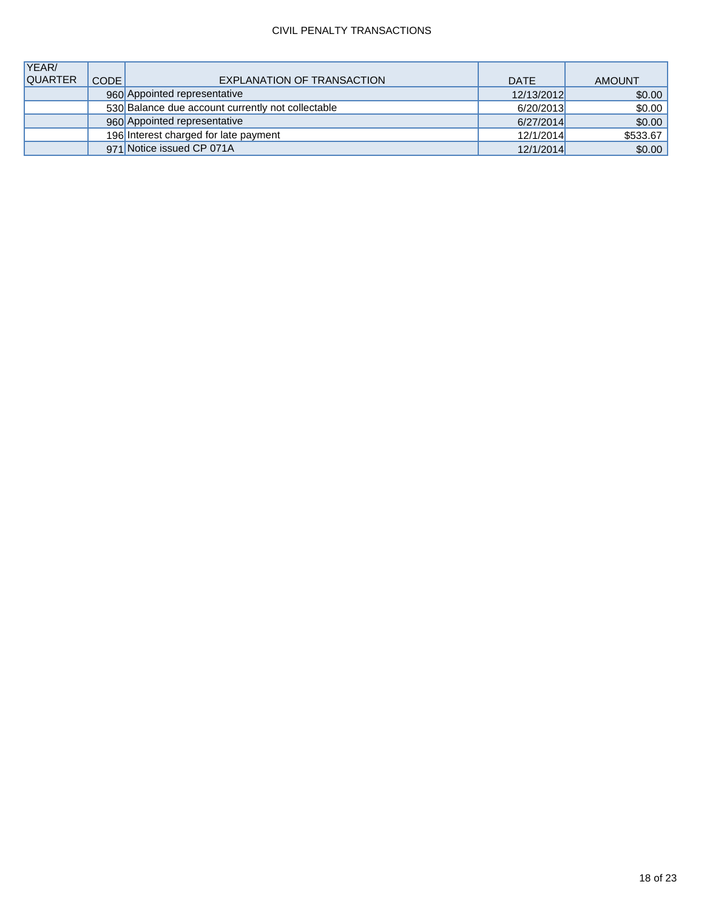| YEAR/          |        |                                                   |             |               |
|----------------|--------|---------------------------------------------------|-------------|---------------|
| <b>QUARTER</b> | CODE I | EXPLANATION OF TRANSACTION                        | <b>DATE</b> | <b>AMOUNT</b> |
|                |        | 960 Appointed representative                      | 12/13/2012  | \$0.00        |
|                |        | 530 Balance due account currently not collectable | 6/20/2013   | \$0.00        |
|                |        | 960 Appointed representative                      | 6/27/2014   | \$0.00        |
|                |        | 196 Interest charged for late payment             | 12/1/2014   | \$533.67      |
|                |        | 971 Notice issued CP 071A                         | 12/1/2014   | \$0.00        |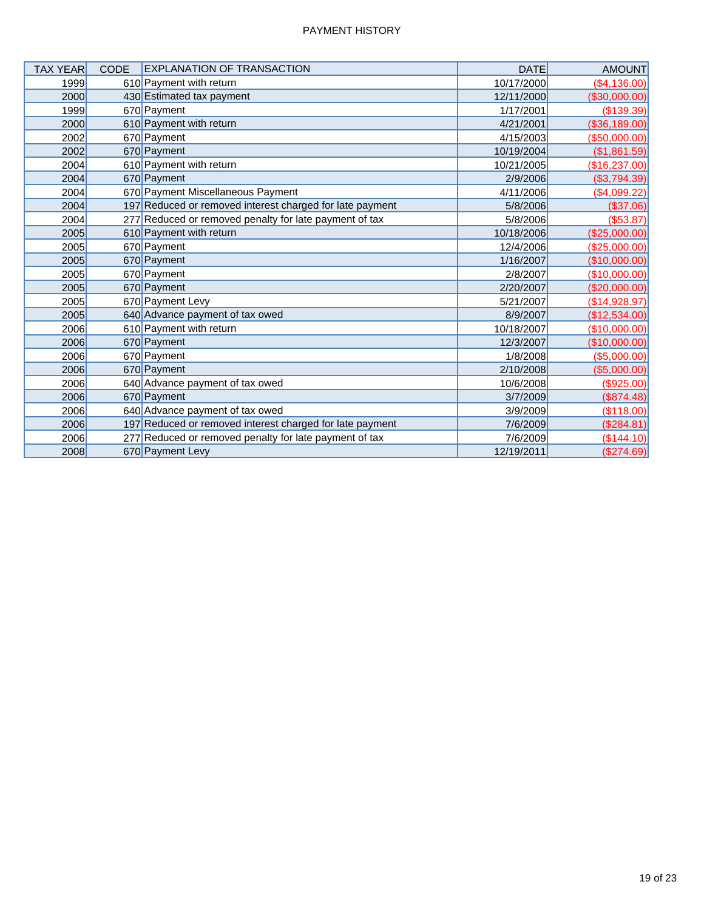| <b>TAX YEAR</b> | <b>CODE</b> | <b>EXPLANATION OF TRANSACTION</b>                        | <b>DATE</b> | <b>AMOUNT</b> |
|-----------------|-------------|----------------------------------------------------------|-------------|---------------|
| 1999            |             | 610 Payment with return                                  | 10/17/2000  | (\$4,136.00)  |
| 2000            |             | 430 Estimated tax payment                                | 12/11/2000  | (\$30,000.00) |
| 1999            |             | 670 Payment                                              | 1/17/2001   | (\$139.39)    |
| 2000            |             | 610 Payment with return                                  | 4/21/2001   | (\$36,189.00) |
| 2002            |             | 670 Payment                                              | 4/15/2003   | (\$50,000.00) |
| 2002            |             | 670 Payment                                              | 10/19/2004  | (\$1,861.59)  |
| 2004            |             | 610 Payment with return                                  | 10/21/2005  | (\$16,237.00) |
| 2004            |             | 670 Payment                                              | 2/9/2006    | (\$3,794.39)  |
| 2004            |             | 670 Payment Miscellaneous Payment                        | 4/11/2006   | ( \$4,099.22) |
| 2004            |             | 197 Reduced or removed interest charged for late payment | 5/8/2006    | (\$37.06)     |
| 2004            |             | 277 Reduced or removed penalty for late payment of tax   | 5/8/2006    | ( \$53.87)    |
| 2005            |             | 610 Payment with return                                  | 10/18/2006  | (\$25,000.00) |
| 2005            |             | 670 Payment                                              | 12/4/2006   | (\$25,000.00) |
| 2005            |             | 670 Payment                                              | 1/16/2007   | (\$10,000.00) |
| 2005            |             | 670 Payment                                              | 2/8/2007    | (\$10,000.00) |
| 2005            |             | 670 Payment                                              | 2/20/2007   | (\$20,000.00) |
| 2005            |             | 670 Payment Levy                                         | 5/21/2007   | (\$14,928.97) |
| 2005            |             | 640 Advance payment of tax owed                          | 8/9/2007    | (\$12,534.00) |
| 2006            |             | 610 Payment with return                                  | 10/18/2007  | (\$10,000.00) |
| 2006            |             | 670 Payment                                              | 12/3/2007   | (\$10,000.00) |
| 2006            |             | 670 Payment                                              | 1/8/2008    | (\$5,000.00)  |
| 2006            |             | 670 Payment                                              | 2/10/2008   | (\$5,000.00)  |
| 2006            |             | 640 Advance payment of tax owed                          | 10/6/2008   | (\$925.00)    |
| 2006            |             | 670 Payment                                              | 3/7/2009    | (\$874.48)    |
| 2006            |             | 640 Advance payment of tax owed                          | 3/9/2009    | (\$118.00)    |
| 2006            |             | 197 Reduced or removed interest charged for late payment | 7/6/2009    | (\$284.81)    |
| 2006            |             | 277 Reduced or removed penalty for late payment of tax   | 7/6/2009    | (\$144.10)    |
| 2008            |             | 670 Payment Levy                                         | 12/19/2011  | (\$274.69)    |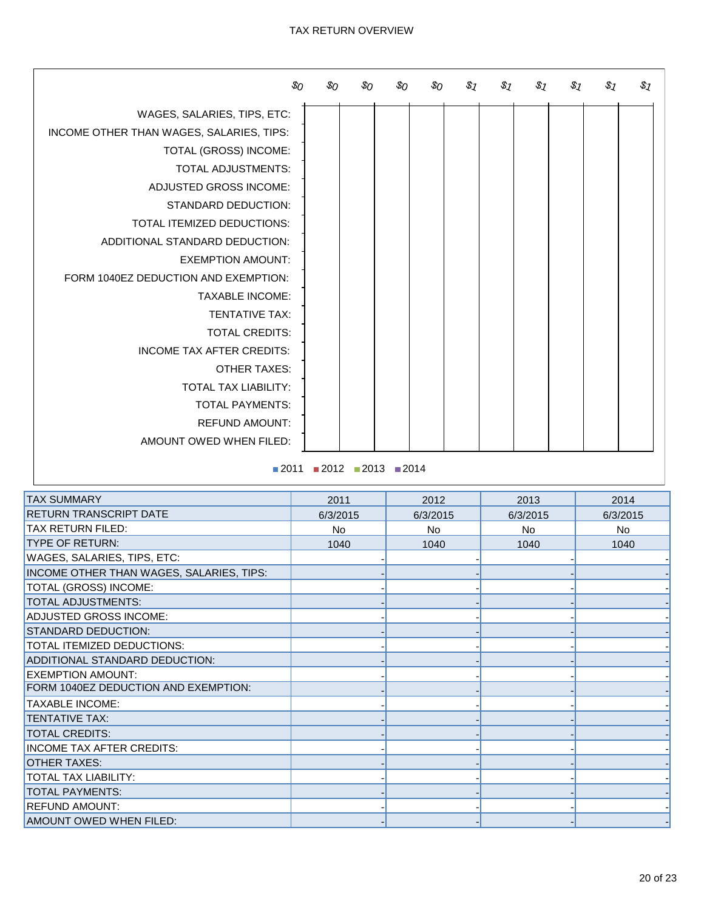#### TAX RETURN OVERVIEW

|                                          | $\mathcal{S}_O$ | \$о     | \$0 | \$о            | $\mathcal{S}_O$ | $\$$ 1 | $\$$ 1 | $S_7$ | $\$$ 1 | $\$$ 1 | \$1 |
|------------------------------------------|-----------------|---------|-----|----------------|-----------------|--------|--------|-------|--------|--------|-----|
| WAGES, SALARIES, TIPS, ETC:              |                 |         |     |                |                 |        |        |       |        |        |     |
| INCOME OTHER THAN WAGES, SALARIES, TIPS: |                 |         |     |                |                 |        |        |       |        |        |     |
| TOTAL (GROSS) INCOME:                    |                 |         |     |                |                 |        |        |       |        |        |     |
| TOTAL ADJUSTMENTS:                       |                 |         |     |                |                 |        |        |       |        |        |     |
| ADJUSTED GROSS INCOME:                   |                 |         |     |                |                 |        |        |       |        |        |     |
| <b>STANDARD DEDUCTION:</b>               |                 |         |     |                |                 |        |        |       |        |        |     |
| TOTAL ITEMIZED DEDUCTIONS:               |                 |         |     |                |                 |        |        |       |        |        |     |
| ADDITIONAL STANDARD DEDUCTION:           |                 |         |     |                |                 |        |        |       |        |        |     |
| <b>EXEMPTION AMOUNT:</b>                 |                 |         |     |                |                 |        |        |       |        |        |     |
| FORM 1040EZ DEDUCTION AND EXEMPTION:     |                 |         |     |                |                 |        |        |       |        |        |     |
| <b>TAXABLE INCOME:</b>                   |                 |         |     |                |                 |        |        |       |        |        |     |
| <b>TENTATIVE TAX:</b>                    |                 |         |     |                |                 |        |        |       |        |        |     |
| <b>TOTAL CREDITS:</b>                    |                 |         |     |                |                 |        |        |       |        |        |     |
| <b>INCOME TAX AFTER CREDITS:</b>         |                 |         |     |                |                 |        |        |       |        |        |     |
| <b>OTHER TAXES:</b>                      |                 |         |     |                |                 |        |        |       |        |        |     |
| TOTAL TAX LIABILITY:                     |                 |         |     |                |                 |        |        |       |        |        |     |
| <b>TOTAL PAYMENTS:</b>                   |                 |         |     |                |                 |        |        |       |        |        |     |
| <b>REFUND AMOUNT:</b>                    |                 |         |     |                |                 |        |        |       |        |        |     |
| AMOUNT OWED WHEN FILED:                  |                 |         |     |                |                 |        |        |       |        |        |     |
|                                          | 0011            | $-0.10$ |     | $-0010 - 0011$ |                 |        |        |       |        |        |     |

 $2011$  2012 2013 2014

| <b>TAX SUMMARY</b>                       | 2011     | 2012     | 2013     | 2014     |
|------------------------------------------|----------|----------|----------|----------|
| <b>RETURN TRANSCRIPT DATE</b>            | 6/3/2015 | 6/3/2015 | 6/3/2015 | 6/3/2015 |
| <b>TAX RETURN FILED:</b>                 | No       | No.      | No       | No       |
| <b>TYPE OF RETURN:</b>                   | 1040     | 1040     | 1040     | 1040     |
| WAGES, SALARIES, TIPS, ETC:              |          |          |          |          |
| INCOME OTHER THAN WAGES, SALARIES, TIPS: |          |          |          |          |
| TOTAL (GROSS) INCOME:                    |          |          |          |          |
| <b>TOTAL ADJUSTMENTS:</b>                |          |          |          |          |
| <b>ADJUSTED GROSS INCOME:</b>            |          |          |          |          |
| <b>STANDARD DEDUCTION:</b>               |          |          |          |          |
| TOTAL ITEMIZED DEDUCTIONS:               |          |          |          |          |
| ADDITIONAL STANDARD DEDUCTION:           |          |          |          |          |
| <b>EXEMPTION AMOUNT:</b>                 |          |          |          |          |
| FORM 1040EZ DEDUCTION AND EXEMPTION:     |          |          |          |          |
| <b>TAXABLE INCOME:</b>                   |          |          |          |          |
| <b>TENTATIVE TAX:</b>                    |          |          |          |          |
| <b>TOTAL CREDITS:</b>                    |          |          |          |          |
| <b>INCOME TAX AFTER CREDITS:</b>         |          |          |          |          |
| <b>OTHER TAXES:</b>                      |          |          |          |          |
| <b>TOTAL TAX LIABILITY:</b>              |          |          |          |          |
| <b>TOTAL PAYMENTS:</b>                   |          |          |          |          |
| <b>REFUND AMOUNT:</b>                    |          |          |          |          |
| AMOUNT OWED WHEN FILED:                  |          |          |          |          |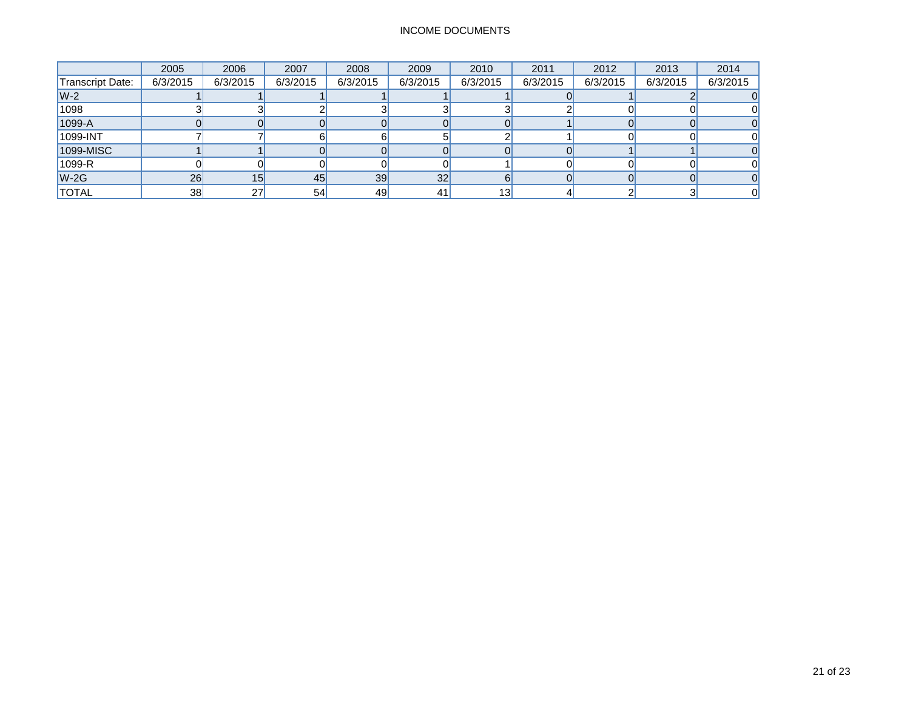## INCOME DOCUMENTS

|                  | 2005     | 2006      | 2007     | 2008     | 2009     | 2010     | 2011     | 2012     | 2013     | 2014     |
|------------------|----------|-----------|----------|----------|----------|----------|----------|----------|----------|----------|
| Transcript Date: | 6/3/2015 | 6/3/2015  | 6/3/2015 | 6/3/2015 | 6/3/2015 | 6/3/2015 | 6/3/2015 | 6/3/2015 | 6/3/2015 | 6/3/2015 |
| $W-2$            |          |           |          |          |          |          |          |          |          |          |
| 1098             |          |           |          |          |          |          |          |          |          |          |
| 1099-A           |          |           |          |          |          |          |          |          |          |          |
| 1099-INT         |          |           |          |          |          |          |          |          |          |          |
| 1099-MISC        |          |           |          |          |          |          |          |          |          |          |
| 1099-R           |          |           |          |          |          |          |          |          |          |          |
| $W-2G$           | 26       | 15        | 45       | 39       | 32       |          |          |          |          |          |
| <b>TOTAL</b>     | 38       | <b>27</b> | 54       | 49       | 41       | 13       |          |          |          |          |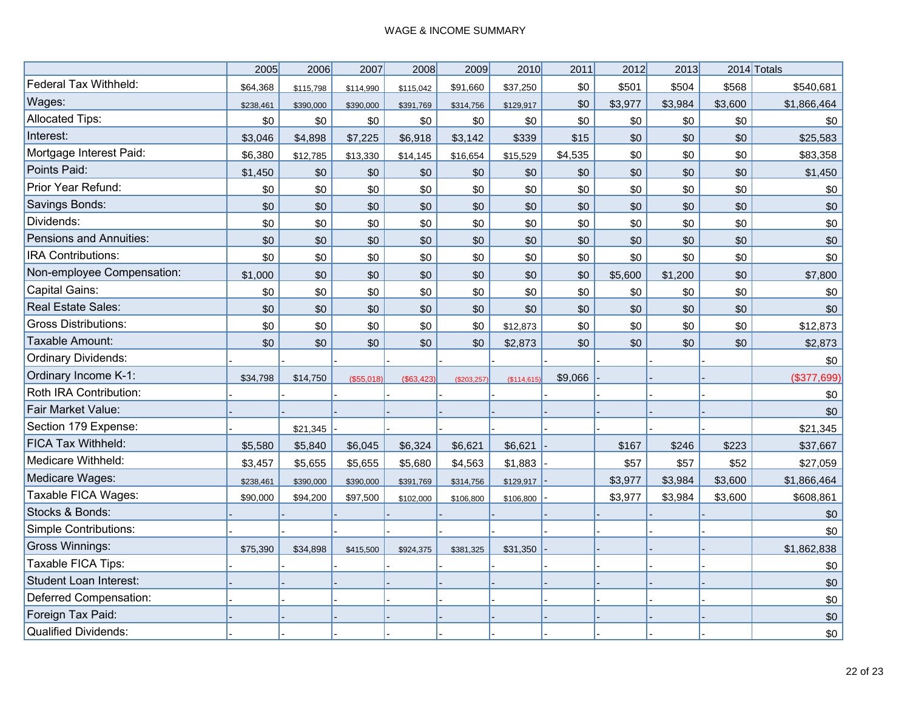|                                | 2005      | 2006      | 2007       | 2008       | 2009         | 2010       | 2011    | 2012    | 2013    |         | 2014 Totals |
|--------------------------------|-----------|-----------|------------|------------|--------------|------------|---------|---------|---------|---------|-------------|
| Federal Tax Withheld:          | \$64,368  | \$115,798 | \$114,990  | \$115,042  | \$91,660     | \$37,250   | \$0     | \$501   | \$504   | \$568   | \$540,681   |
| Wages:                         | \$238,461 | \$390,000 | \$390,000  | \$391,769  | \$314,756    | \$129,917  | \$0     | \$3,977 | \$3,984 | \$3,600 | \$1,866,464 |
| <b>Allocated Tips:</b>         | \$0       | \$0       | \$0        | \$0        | \$0          | \$0        | \$0     | \$0     | \$0     | \$0     | \$0         |
| Interest:                      | \$3,046   | \$4,898   | \$7,225    | \$6,918    | \$3,142      | \$339      | \$15    | \$0     | \$0     | \$0     | \$25,583    |
| Mortgage Interest Paid:        | \$6,380   | \$12,785  | \$13,330   | \$14,145   | \$16,654     | \$15,529   | \$4,535 | \$0     | \$0     | \$0     | \$83,358    |
| Points Paid:                   | \$1,450   | \$0       | \$0        | \$0        | \$0          | \$0        | \$0     | \$0     | \$0     | \$0     | \$1,450     |
| Prior Year Refund:             | \$0       | \$0       | \$0        | \$0        | \$0          | \$0        | \$0     | \$0     | \$0     | \$0     | \$0         |
| Savings Bonds:                 | \$0       | \$0       | \$0        | \$0        | \$0          | \$0        | \$0     | \$0     | \$0     | \$0     | \$0         |
| Dividends:                     | \$0       | \$0       | \$0        | \$0        | \$0          | \$0        | \$0     | \$0     | \$0     | \$0     | \$0         |
| <b>Pensions and Annuities:</b> | \$0       | \$0       | \$0        | \$0        | \$0          | \$0        | \$0     | \$0     | \$0     | \$0     | \$0         |
| IRA Contributions:             | \$0       | \$0       | \$0        | \$0        | \$0          | \$0        | \$0     | \$0     | \$0     | \$0     | \$0         |
| Non-employee Compensation:     | \$1,000   | \$0       | \$0        | \$0        | \$0          | \$0        | \$0     | \$5,600 | \$1,200 | \$0     | \$7,800     |
| <b>Capital Gains:</b>          | \$0       | \$0       | \$0        | \$0        | \$0          | \$0        | \$0     | \$0     | \$0     | \$0     | \$0         |
| Real Estate Sales:             | \$0       | \$0       | \$0        | \$0        | \$0          | \$0        | \$0     | \$0     | \$0     | \$0     | \$0         |
| <b>Gross Distributions:</b>    | \$0       | \$0       | \$0        | \$0        | \$0          | \$12,873   | \$0     | \$0     | \$0     | \$0     | \$12,873    |
| Taxable Amount:                | \$0       | \$0       | \$0        | \$0        | \$0          | \$2,873    | \$0     | \$0     | \$0     | \$0     | \$2,873     |
| Ordinary Dividends:            |           |           |            |            |              |            |         |         |         |         | \$0         |
| Ordinary Income K-1:           | \$34,798  | \$14,750  | (\$55,018) | (\$63,423) | (\$203, 257) | (\$114,615 | \$9,066 |         |         |         | (\$377,699) |
| Roth IRA Contribution:         |           |           |            |            |              |            |         |         |         |         | \$0         |
| Fair Market Value:             |           |           |            |            |              |            |         |         |         |         | \$0         |
| Section 179 Expense:           |           | \$21,345  |            |            |              |            |         |         |         |         | \$21,345    |
| FICA Tax Withheld:             | \$5,580   | \$5,840   | \$6,045    | \$6,324    | \$6,621      | \$6,621    |         | \$167   | \$246   | \$223   | \$37,667    |
| Medicare Withheld:             | \$3,457   | \$5,655   | \$5,655    | \$5,680    | \$4,563      | \$1,883    |         | \$57    | \$57    | \$52    | \$27,059    |
| Medicare Wages:                | \$238,461 | \$390,000 | \$390,000  | \$391,769  | \$314,756    | \$129,917  |         | \$3,977 | \$3,984 | \$3,600 | \$1,866,464 |
| Taxable FICA Wages:            | \$90,000  | \$94,200  | \$97,500   | \$102,000  | \$106,800    | \$106,800  |         | \$3,977 | \$3,984 | \$3,600 | \$608,861   |
| Stocks & Bonds:                |           |           |            |            |              |            |         |         |         |         | \$0         |
| <b>Simple Contributions:</b>   |           |           |            |            |              |            |         |         |         |         | \$0         |
| <b>Gross Winnings:</b>         | \$75,390  | \$34,898  | \$415,500  | \$924,375  | \$381,325    | \$31,350   |         |         |         |         | \$1,862,838 |
| Taxable FICA Tips:             |           |           |            |            |              |            |         |         |         |         | \$0         |
| <b>Student Loan Interest:</b>  |           |           |            |            |              |            |         |         |         |         | \$0         |
| Deferred Compensation:         |           |           |            |            |              |            |         |         |         |         | \$0         |
| Foreign Tax Paid:              |           |           |            |            |              |            |         |         |         |         | \$0         |
| <b>Qualified Dividends:</b>    |           |           |            |            |              |            |         |         |         |         | \$0         |